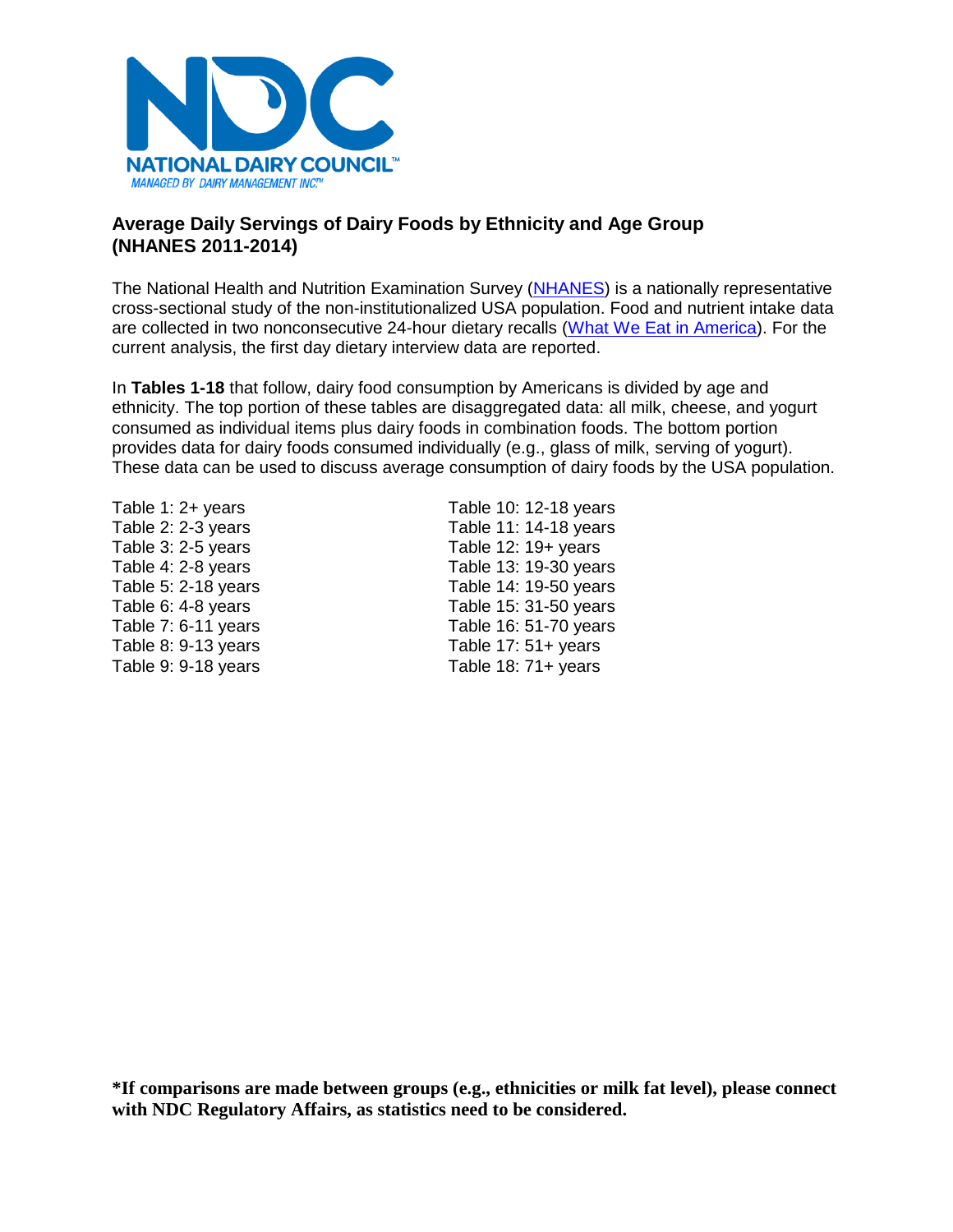

# **Average Daily Servings of Dairy Foods by Ethnicity and Age Group (NHANES 2011-2014)**

The National Health and Nutrition Examination Survey [\(NHANES\)](https://www.cdc.gov/nchs/nhanes/about_nhanes.htm) is a nationally representative cross-sectional study of the non-institutionalized USA population. Food and nutrient intake data are collected in two nonconsecutive 24-hour dietary recalls [\(What We Eat in America\)](https://www.ars.usda.gov/northeast-area/beltsville-md/beltsville-human-nutrition-research-center/food-surveys-research-group/docs/wweianhanes-overview/). For the current analysis, the first day dietary interview data are reported.

In **Tables 1-18** that follow, dairy food consumption by Americans is divided by age and ethnicity. The top portion of these tables are disaggregated data: all milk, cheese, and yogurt consumed as individual items plus dairy foods in combination foods. The bottom portion provides data for dairy foods consumed individually (e.g., glass of milk, serving of yogurt). These data can be used to discuss average consumption of dairy foods by the USA population.

Table 1: 2+ years Table 10: 12-18 years Table 2: 2-3 years Table 11: 14-18 years Table 3: 2-5 years Table 12: 19+ years Table 4: 2-8 years Table 13: 19-30 years Table 5: 2-18 years Table 14: 19-50 years Table 6: 4-8 years Table 15: 31-50 years Table 7: 6-11 years Table 16: 51-70 years Table 8: 9-13 years Table 17: 51+ years Table 9: 9-18 years Table 18: 71+ years

**\*If comparisons are made between groups (e.g., ethnicities or milk fat level), please connect with NDC Regulatory Affairs, as statistics need to be considered.**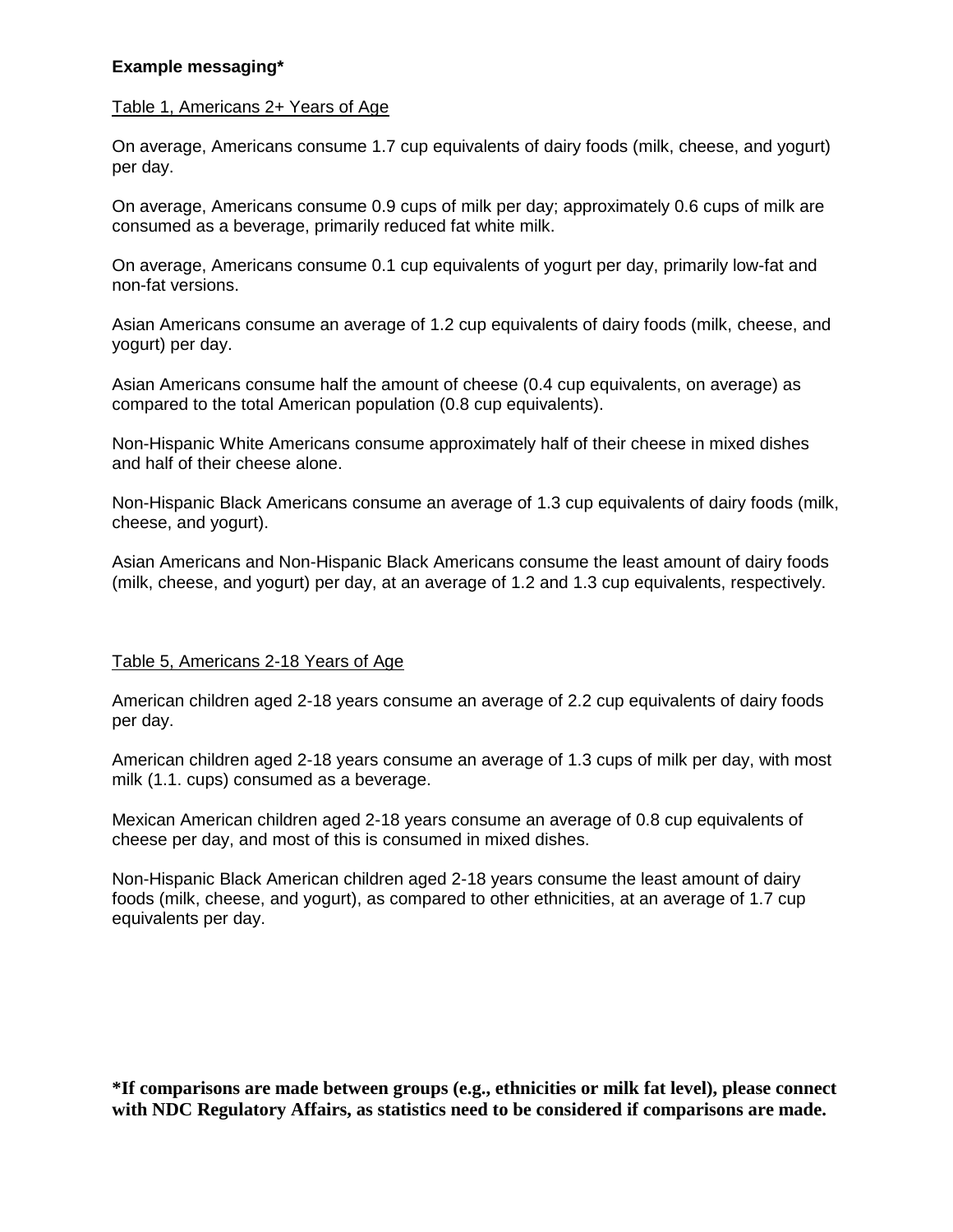# **Example messaging\***

#### Table 1, Americans 2+ Years of Age

On average, Americans consume 1.7 cup equivalents of dairy foods (milk, cheese, and yogurt) per day.

On average, Americans consume 0.9 cups of milk per day; approximately 0.6 cups of milk are consumed as a beverage, primarily reduced fat white milk.

On average, Americans consume 0.1 cup equivalents of yogurt per day, primarily low-fat and non-fat versions.

Asian Americans consume an average of 1.2 cup equivalents of dairy foods (milk, cheese, and yogurt) per day.

Asian Americans consume half the amount of cheese (0.4 cup equivalents, on average) as compared to the total American population (0.8 cup equivalents).

Non-Hispanic White Americans consume approximately half of their cheese in mixed dishes and half of their cheese alone.

Non-Hispanic Black Americans consume an average of 1.3 cup equivalents of dairy foods (milk, cheese, and yogurt).

Asian Americans and Non-Hispanic Black Americans consume the least amount of dairy foods (milk, cheese, and yogurt) per day, at an average of 1.2 and 1.3 cup equivalents, respectively.

# Table 5, Americans 2-18 Years of Age

American children aged 2-18 years consume an average of 2.2 cup equivalents of dairy foods per day.

American children aged 2-18 years consume an average of 1.3 cups of milk per day, with most milk (1.1. cups) consumed as a beverage.

Mexican American children aged 2-18 years consume an average of 0.8 cup equivalents of cheese per day, and most of this is consumed in mixed dishes.

Non-Hispanic Black American children aged 2-18 years consume the least amount of dairy foods (milk, cheese, and yogurt), as compared to other ethnicities, at an average of 1.7 cup equivalents per day.

**\*If comparisons are made between groups (e.g., ethnicities or milk fat level), please connect with NDC Regulatory Affairs, as statistics need to be considered if comparisons are made.**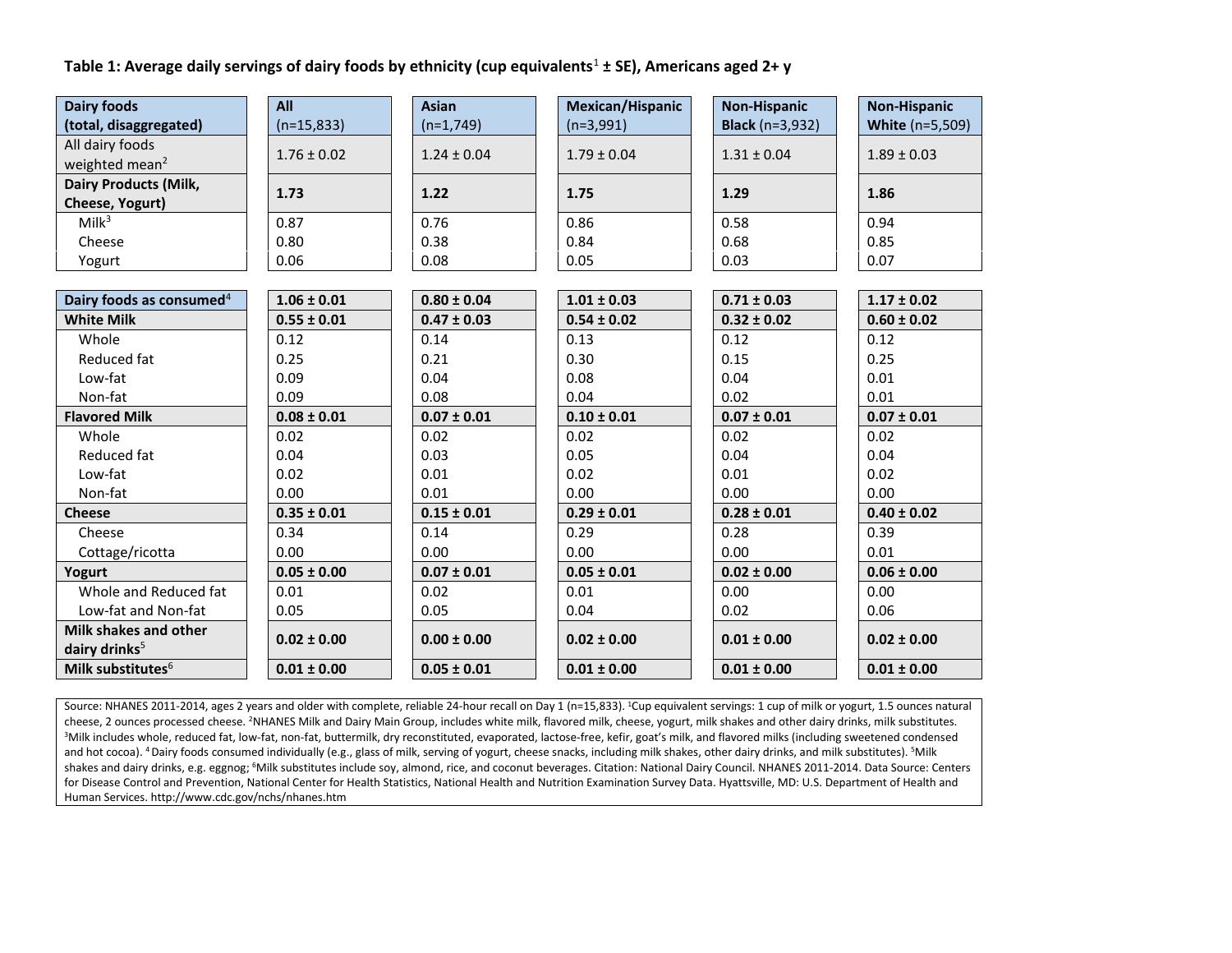#### **Table 1: Average daily servings of dairy foods by ethnicity (cup equivalents**<sup>1</sup> **± SE), Americans aged 2+ y**

| <b>Dairy foods</b>                              | All             | <b>Asian</b>    | Mexican/Hispanic | <b>Non-Hispanic</b>    | <b>Non-Hispanic</b>    |
|-------------------------------------------------|-----------------|-----------------|------------------|------------------------|------------------------|
| (total, disaggregated)                          | $(n=15,833)$    | $(n=1,749)$     | $(n=3,991)$      | <b>Black</b> (n=3,932) | <b>White (n=5,509)</b> |
| All dairy foods<br>weighted mean <sup>2</sup>   | $1.76 \pm 0.02$ | $1.24 \pm 0.04$ | $1.79 \pm 0.04$  | $1.31 \pm 0.04$        | $1.89 \pm 0.03$        |
|                                                 |                 |                 |                  |                        |                        |
| <b>Dairy Products (Milk,</b><br>Cheese, Yogurt) | 1.73            | 1.22            | 1.75             | 1.29                   | 1.86                   |
| Milk <sup>3</sup>                               | 0.87            | 0.76            | 0.86             | 0.58                   | 0.94                   |
| Cheese                                          | 0.80            | 0.38            | 0.84             | 0.68                   | 0.85                   |
|                                                 | 0.06            | 0.08            | 0.05             | 0.03                   | 0.07                   |
| Yogurt                                          |                 |                 |                  |                        |                        |
| Dairy foods as consumed <sup>4</sup>            | $1.06 \pm 0.01$ | $0.80 \pm 0.04$ | $1.01 \pm 0.03$  | $0.71 \pm 0.03$        | $1.17 \pm 0.02$        |
| <b>White Milk</b>                               | $0.55 \pm 0.01$ | $0.47 \pm 0.03$ | $0.54 \pm 0.02$  | $0.32 \pm 0.02$        | $0.60 \pm 0.02$        |
| Whole                                           | 0.12            | 0.14            | 0.13             | 0.12                   | 0.12                   |
| Reduced fat                                     | 0.25            | 0.21            | 0.30             | 0.15                   | 0.25                   |
| Low-fat                                         | 0.09            | 0.04            | 0.08             | 0.04                   | 0.01                   |
| Non-fat                                         | 0.09            | 0.08            | 0.04             | 0.02                   | 0.01                   |
| <b>Flavored Milk</b>                            | $0.08 \pm 0.01$ | $0.07 \pm 0.01$ | $0.10 \pm 0.01$  | $0.07 \pm 0.01$        | $0.07 \pm 0.01$        |
| Whole                                           | 0.02            | 0.02            | 0.02             | 0.02                   | 0.02                   |
| Reduced fat                                     | 0.04            | 0.03            | 0.05             | 0.04                   | 0.04                   |
| Low-fat                                         | 0.02            | 0.01            | 0.02             | 0.01                   | 0.02                   |
| Non-fat                                         | 0.00            | 0.01            | 0.00             | 0.00                   | 0.00                   |
| <b>Cheese</b>                                   | $0.35 \pm 0.01$ | $0.15 \pm 0.01$ | $0.29 \pm 0.01$  | $0.28 \pm 0.01$        | $0.40 \pm 0.02$        |
| Cheese                                          | 0.34            | 0.14            | 0.29             | 0.28                   | 0.39                   |
| Cottage/ricotta                                 | 0.00            | 0.00            | 0.00             | 0.00                   | 0.01                   |
| Yogurt                                          | $0.05 \pm 0.00$ | $0.07 \pm 0.01$ | $0.05 \pm 0.01$  | $0.02 \pm 0.00$        | $0.06 \pm 0.00$        |
| Whole and Reduced fat                           | 0.01            | 0.02            | 0.01             | 0.00                   | 0.00                   |
| Low-fat and Non-fat                             | 0.05            | 0.05            | 0.04             | 0.02                   | 0.06                   |
| Milk shakes and other                           | $0.02 \pm 0.00$ | $0.00 \pm 0.00$ | $0.02 \pm 0.00$  | $0.01 \pm 0.00$        | $0.02 \pm 0.00$        |
| dairy drinks <sup>5</sup>                       |                 |                 |                  |                        |                        |
| Milk substitutes <sup>6</sup>                   | $0.01 \pm 0.00$ | $0.05 \pm 0.01$ | $0.01 \pm 0.00$  | $0.01 \pm 0.00$        | $0.01 \pm 0.00$        |

Source: NHANES 2011-2014, ages 2 years and older with complete, reliable 24-hour recall on Day 1 (n=15,833). <sup>1</sup>Cup equivalent servings: 1 cup of milk or yogurt, 1.5 ounces natural cheese, 2 ounces processed cheese. <sup>2</sup>NHANES Milk and Dairy Main Group, includes white milk, flavored milk, cheese, yogurt, milk shakes and other dairy drinks, milk substitutes. <sup>3</sup>Milk includes whole, reduced fat, low-fat, non-fat, buttermilk, dry reconstituted, evaporated, lactose-free, kefir, goat's milk, and flavored milks (including sweetened condensed and hot cocoa). <sup>4</sup> Dairy foods consumed individually (e.g., glass of milk, serving of yogurt, cheese snacks, including milk shakes, other dairy drinks, and milk substitutes). <sup>5</sup>Milk shakes and dairy drinks, e.g. eggnog; <sup>6</sup>Milk substitutes include soy, almond, rice, and coconut beverages. Citation: National Dairy Council. NHANES 2011-2014. Data Source: Centers for Disease Control and Prevention, National Center for Health Statistics, National Health and Nutrition Examination Survey Data. Hyattsville, MD: U.S. Department of Health and Human Services. http://www.cdc.gov/nchs/nhanes.htm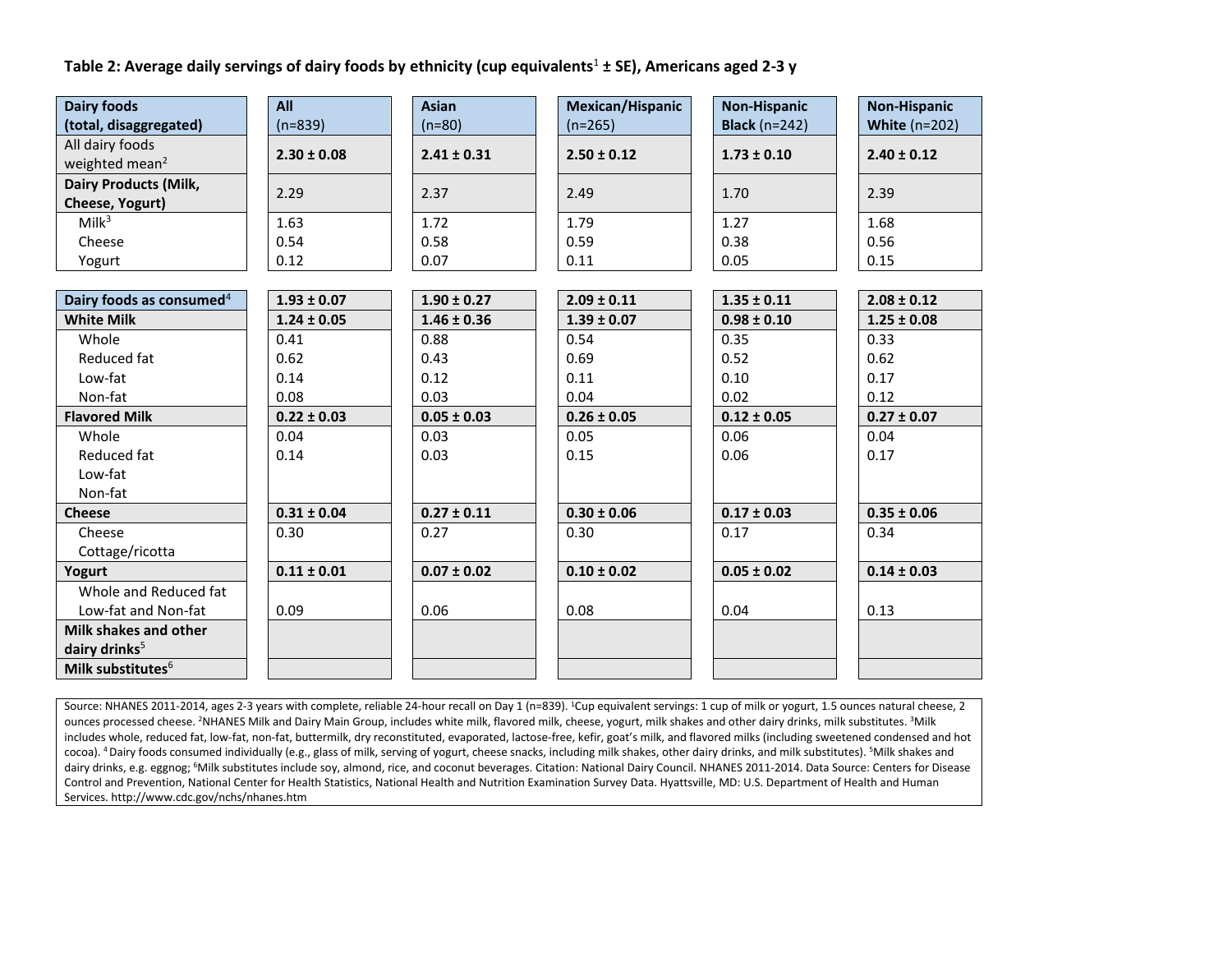# **Table 2: Average daily servings of dairy foods by ethnicity (cup equivalents**<sup>1</sup> **± SE), Americans aged 2-3 y**

| <b>Dairy foods</b>                   | All             | <b>Asian</b>    | Mexican/Hispanic | <b>Non-Hispanic</b>      | <b>Non-Hispanic</b> |
|--------------------------------------|-----------------|-----------------|------------------|--------------------------|---------------------|
| (total, disaggregated)               | $(n=839)$       | $(n=80)$        | $(n=265)$        | <b>Black</b> ( $n=242$ ) | White $(n=202)$     |
| All dairy foods                      | $2.30 \pm 0.08$ | $2.41 \pm 0.31$ | $2.50 \pm 0.12$  | $1.73 \pm 0.10$          | $2.40 \pm 0.12$     |
| weighted mean <sup>2</sup>           |                 |                 |                  |                          |                     |
| <b>Dairy Products (Milk,</b>         | 2.29            | 2.37            | 2.49             | 1.70                     | 2.39                |
| Cheese, Yogurt)                      |                 |                 |                  |                          |                     |
| Milk <sup>3</sup>                    | 1.63            | 1.72            | 1.79             | 1.27                     | 1.68                |
| Cheese                               | 0.54            | 0.58            | 0.59             | 0.38                     | 0.56                |
| Yogurt                               | 0.12            | 0.07            | 0.11             | 0.05                     | 0.15                |
|                                      |                 |                 |                  |                          |                     |
| Dairy foods as consumed <sup>4</sup> | $1.93 \pm 0.07$ | $1.90 \pm 0.27$ | $2.09 \pm 0.11$  | $1.35 \pm 0.11$          | $2.08 \pm 0.12$     |
| <b>White Milk</b>                    | $1.24 \pm 0.05$ | $1.46 \pm 0.36$ | $1.39 \pm 0.07$  | $0.98 \pm 0.10$          | $1.25 \pm 0.08$     |
| Whole                                | 0.41            | 0.88            | 0.54             | 0.35                     | 0.33                |
| Reduced fat                          | 0.62            | 0.43            | 0.69             | 0.52                     | 0.62                |
| Low-fat                              | 0.14            | 0.12            | 0.11             | 0.10                     | 0.17                |
| Non-fat                              | 0.08            | 0.03            | 0.04             | 0.02                     | 0.12                |
| <b>Flavored Milk</b>                 | $0.22 \pm 0.03$ | $0.05 \pm 0.03$ | $0.26 \pm 0.05$  | $0.12 \pm 0.05$          | $0.27 \pm 0.07$     |
| Whole                                | 0.04            | 0.03            | 0.05             | 0.06                     | 0.04                |
| Reduced fat                          | 0.14            | 0.03            | 0.15             | 0.06                     | 0.17                |
| Low-fat                              |                 |                 |                  |                          |                     |
| Non-fat                              |                 |                 |                  |                          |                     |
| <b>Cheese</b>                        | $0.31 \pm 0.04$ | $0.27 \pm 0.11$ | $0.30 \pm 0.06$  | $0.17 \pm 0.03$          | $0.35 \pm 0.06$     |
| Cheese                               | 0.30            | 0.27            | 0.30             | 0.17                     | 0.34                |
| Cottage/ricotta                      |                 |                 |                  |                          |                     |
| Yogurt                               | $0.11 \pm 0.01$ | $0.07 \pm 0.02$ | $0.10 \pm 0.02$  | $0.05 \pm 0.02$          | $0.14 \pm 0.03$     |
| Whole and Reduced fat                |                 |                 |                  |                          |                     |
| Low-fat and Non-fat                  | 0.09            | 0.06            | 0.08             | 0.04                     | 0.13                |
| Milk shakes and other                |                 |                 |                  |                          |                     |
| dairy drinks <sup>5</sup>            |                 |                 |                  |                          |                     |
| Milk substitutes $6$                 |                 |                 |                  |                          |                     |

Source: NHANES 2011-2014, ages 2-3 years with complete, reliable 24-hour recall on Day 1 (n=839). <sup>1</sup>Cup equivalent servings: 1 cup of milk or yogurt, 1.5 ounces natural cheese, 2 ounces processed cheese. <sup>2</sup>NHANES Milk and Dairy Main Group, includes white milk, flavored milk, cheese, yogurt, milk shakes and other dairy drinks, milk substitutes. <sup>3</sup>Milk includes whole, reduced fat, low-fat, non-fat, buttermilk, dry reconstituted, evaporated, lactose-free, kefir, goat's milk, and flavored milks (including sweetened condensed and hot cocoa). <sup>4</sup> Dairy foods consumed individually (e.g., glass of milk, serving of yogurt, cheese snacks, including milk shakes, other dairy drinks, and milk substitutes). <sup>5</sup>Milk shakes and dairy drinks, e.g. eggnog; <sup>6</sup>Milk substitutes include soy, almond, rice, and coconut beverages. Citation: National Dairy Council. NHANES 2011-2014. Data Source: Centers for Disease Control and Prevention, National Center for Health Statistics, National Health and Nutrition Examination Survey Data. Hyattsville, MD: U.S. Department of Health and Human Services. http://www.cdc.gov/nchs/nhanes.htm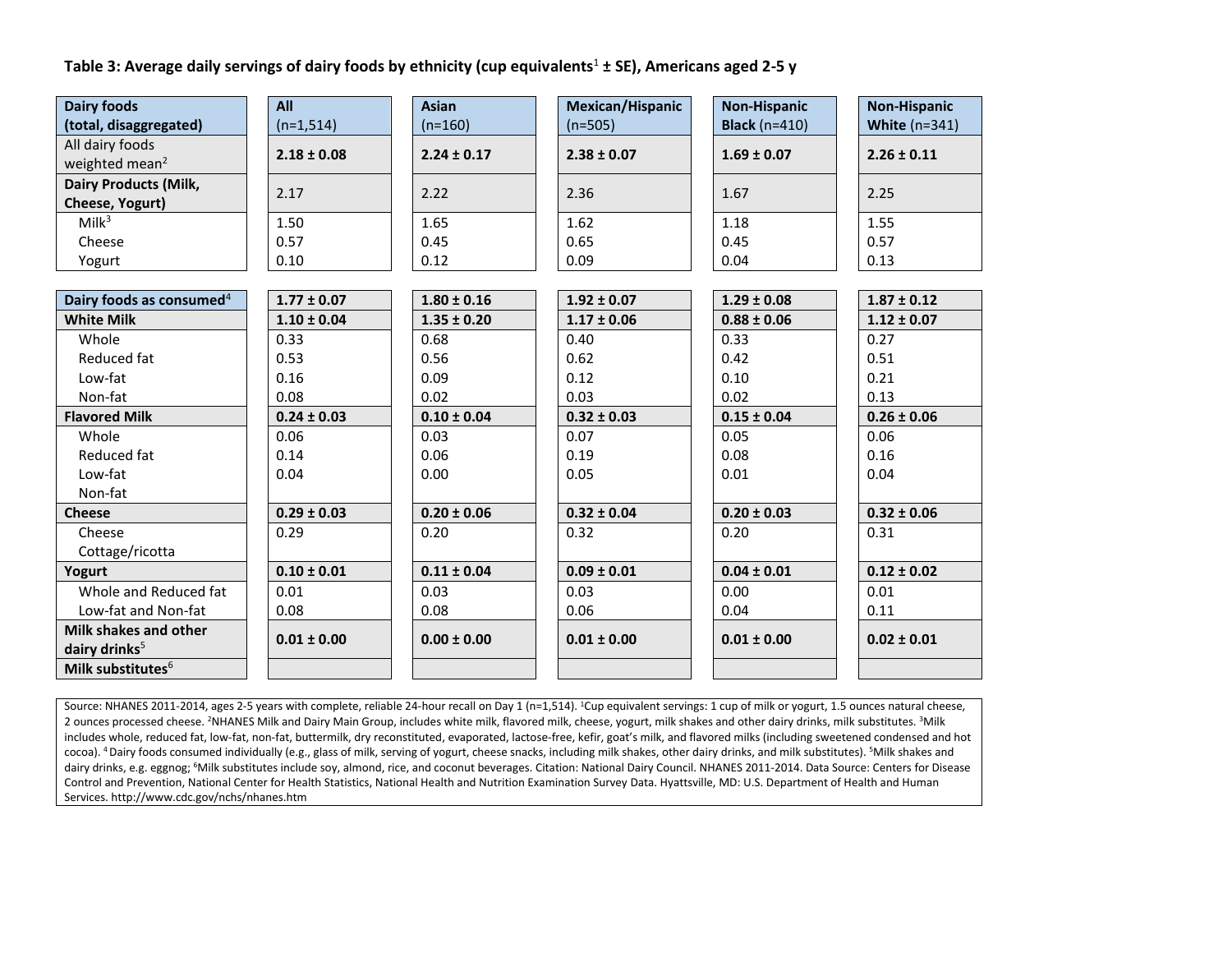# **Table 3: Average daily servings of dairy foods by ethnicity (cup equivalents**<sup>1</sup> **± SE), Americans aged 2-5 y**

| <b>Dairy foods</b>                   | All             | <b>Asian</b>    | Mexican/Hispanic | <b>Non-Hispanic</b>  | <b>Non-Hispanic</b>  |
|--------------------------------------|-----------------|-----------------|------------------|----------------------|----------------------|
| (total, disaggregated)               | $(n=1,514)$     | $(n=160)$       | $(n=505)$        | <b>Black</b> (n=410) | <b>White (n=341)</b> |
| All dairy foods                      | $2.18 \pm 0.08$ | $2.24 \pm 0.17$ | $2.38 \pm 0.07$  | $1.69 \pm 0.07$      | $2.26 \pm 0.11$      |
| weighted mean <sup>2</sup>           |                 |                 |                  |                      |                      |
| <b>Dairy Products (Milk,</b>         | 2.17            | 2.22            | 2.36             | 1.67                 | 2.25                 |
| Cheese, Yogurt)                      |                 |                 |                  |                      |                      |
| Milk <sup>3</sup>                    | 1.50            | 1.65            | 1.62             | 1.18                 | 1.55                 |
| Cheese                               | 0.57            | 0.45            | 0.65             | 0.45                 | 0.57                 |
| Yogurt                               | 0.10            | 0.12            | 0.09             | 0.04                 | 0.13                 |
|                                      |                 |                 |                  |                      |                      |
| Dairy foods as consumed <sup>4</sup> | $1.77 \pm 0.07$ | $1.80 \pm 0.16$ | $1.92 \pm 0.07$  | $1.29 \pm 0.08$      | $1.87 \pm 0.12$      |
| <b>White Milk</b>                    | $1.10 \pm 0.04$ | $1.35 \pm 0.20$ | $1.17 \pm 0.06$  | $0.88 \pm 0.06$      | $1.12 \pm 0.07$      |
| Whole                                | 0.33            | 0.68            | 0.40             | 0.33                 | 0.27                 |
| Reduced fat                          | 0.53            | 0.56            | 0.62             | 0.42                 | 0.51                 |
| Low-fat                              | 0.16            | 0.09            | 0.12             | 0.10                 | 0.21                 |
| Non-fat                              | 0.08            | 0.02            | 0.03             | 0.02                 | 0.13                 |
| <b>Flavored Milk</b>                 | $0.24 \pm 0.03$ | $0.10 \pm 0.04$ | $0.32 \pm 0.03$  | $0.15 \pm 0.04$      | $0.26 \pm 0.06$      |
| Whole                                | 0.06            | 0.03            | 0.07             | 0.05                 | 0.06                 |
| Reduced fat                          | 0.14            | 0.06            | 0.19             | 0.08                 | 0.16                 |
| Low-fat                              | 0.04            | 0.00            | 0.05             | 0.01                 | 0.04                 |
| Non-fat                              |                 |                 |                  |                      |                      |
| <b>Cheese</b>                        | $0.29 \pm 0.03$ | $0.20 \pm 0.06$ | $0.32 \pm 0.04$  | $0.20 \pm 0.03$      | $0.32 \pm 0.06$      |
| Cheese                               | 0.29            | 0.20            | 0.32             | 0.20                 | 0.31                 |
| Cottage/ricotta                      |                 |                 |                  |                      |                      |
| Yogurt                               | $0.10 \pm 0.01$ | $0.11 \pm 0.04$ | $0.09 \pm 0.01$  | $0.04 \pm 0.01$      | $0.12 \pm 0.02$      |
| Whole and Reduced fat                | 0.01            | 0.03            | 0.03             | 0.00                 | 0.01                 |
| Low-fat and Non-fat                  | 0.08            | 0.08            | 0.06             | 0.04                 | 0.11                 |
| Milk shakes and other                | $0.01 \pm 0.00$ | $0.00 \pm 0.00$ | $0.01 \pm 0.00$  | $0.01 \pm 0.00$      | $0.02 \pm 0.01$      |
| dairy drinks <sup>5</sup>            |                 |                 |                  |                      |                      |
| Milk substitutes <sup>6</sup>        |                 |                 |                  |                      |                      |

Source: NHANES 2011-2014, ages 2-5 years with complete, reliable 24-hour recall on Day 1 (n=1,514). <sup>1</sup>Cup equivalent servings: 1 cup of milk or yogurt, 1.5 ounces natural cheese, 2 ounces processed cheese. <sup>2</sup>NHANES Milk and Dairy Main Group, includes white milk, flavored milk, cheese, yogurt, milk shakes and other dairy drinks, milk substitutes. <sup>3</sup>Milk includes whole, reduced fat, low-fat, non-fat, buttermilk, dry reconstituted, evaporated, lactose-free, kefir, goat's milk, and flavored milks (including sweetened condensed and hot cocoa). <sup>4</sup> Dairy foods consumed individually (e.g., glass of milk, serving of yogurt, cheese snacks, including milk shakes, other dairy drinks, and milk substitutes). <sup>5</sup>Milk shakes and dairy drinks, e.g. eggnog; <sup>6</sup>Milk substitutes include soy, almond, rice, and coconut beverages. Citation: National Dairy Council. NHANES 2011-2014. Data Source: Centers for Disease Control and Prevention, National Center for Health Statistics, National Health and Nutrition Examination Survey Data. Hyattsville, MD: U.S. Department of Health and Human Services. http://www.cdc.gov/nchs/nhanes.htm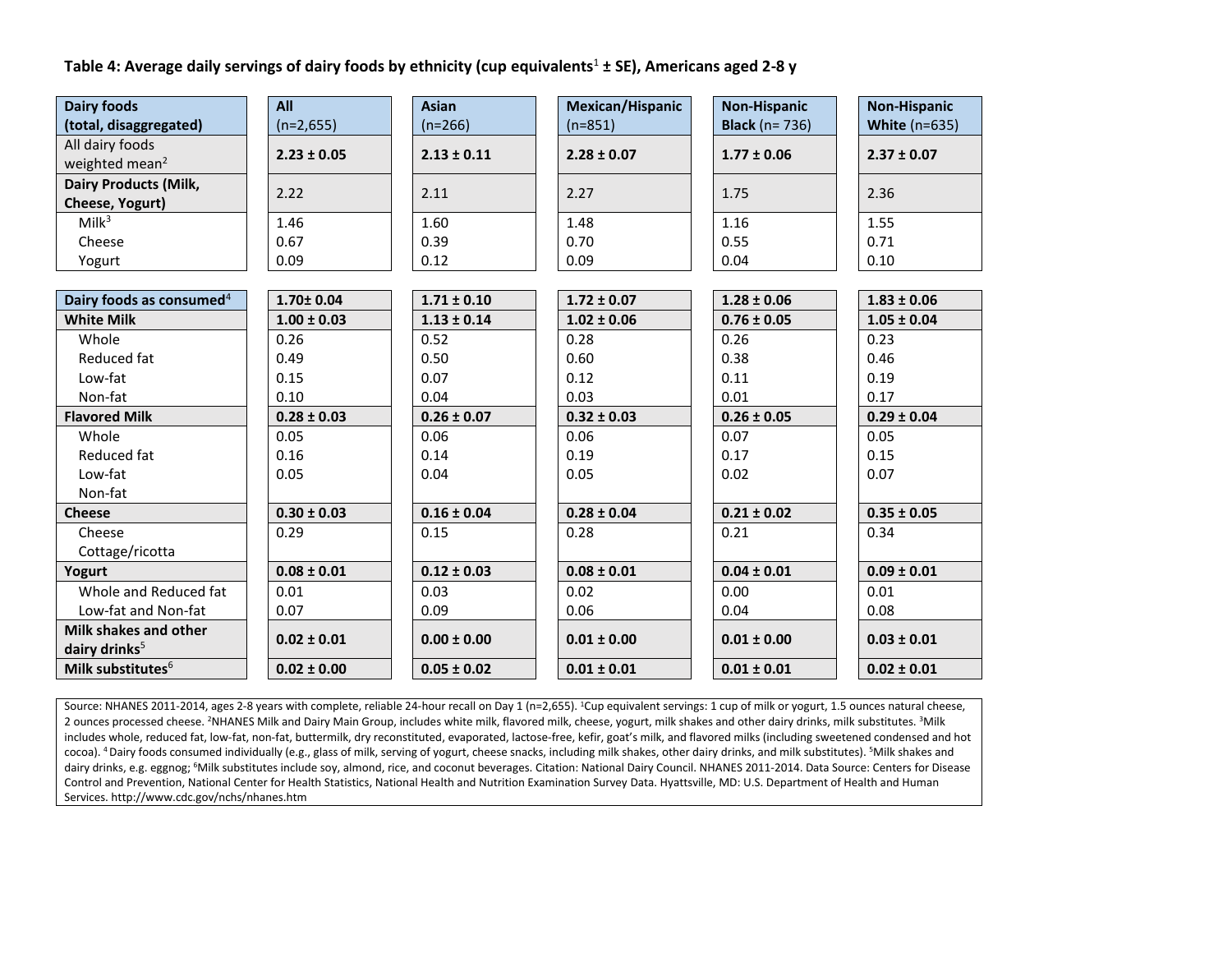# **Table 4: Average daily servings of dairy foods by ethnicity (cup equivalents**<sup>1</sup> **± SE), Americans aged 2-8 y**

| <b>Dairy foods</b>                            | All             | <b>Asian</b>    | Mexican/Hispanic | <b>Non-Hispanic</b>   | <b>Non-Hispanic</b>  |
|-----------------------------------------------|-----------------|-----------------|------------------|-----------------------|----------------------|
| (total, disaggregated)                        | $(n=2,655)$     | $(n=266)$       | $(n=851)$        | <b>Black</b> (n= 736) | <b>White (n=635)</b> |
| All dairy foods<br>weighted mean <sup>2</sup> | $2.23 \pm 0.05$ | $2.13 \pm 0.11$ | $2.28 \pm 0.07$  | $1.77 \pm 0.06$       | $2.37 \pm 0.07$      |
| <b>Dairy Products (Milk,</b>                  |                 |                 |                  |                       |                      |
| Cheese, Yogurt)                               | 2.22            | 2.11            | 2.27             | 1.75                  | 2.36                 |
| Milk <sup>3</sup>                             | 1.46            | 1.60            | 1.48             | 1.16                  | 1.55                 |
| Cheese                                        | 0.67            | 0.39            | 0.70             | 0.55                  | 0.71                 |
| Yogurt                                        | 0.09            | 0.12            | 0.09             | 0.04                  | 0.10                 |
|                                               |                 |                 |                  |                       |                      |
| Dairy foods as consumed <sup>4</sup>          | $1.70 \pm 0.04$ | $1.71 \pm 0.10$ | $1.72 \pm 0.07$  | $1.28 \pm 0.06$       | $1.83 \pm 0.06$      |
| <b>White Milk</b>                             | $1.00 \pm 0.03$ | $1.13 \pm 0.14$ | $1.02 \pm 0.06$  | $0.76 \pm 0.05$       | $1.05 \pm 0.04$      |
| Whole                                         | 0.26            | 0.52            | 0.28             | 0.26                  | 0.23                 |
| Reduced fat                                   | 0.49            | 0.50            | 0.60             | 0.38                  | 0.46                 |
| Low-fat                                       | 0.15            | 0.07            | 0.12             | 0.11                  | 0.19                 |
| Non-fat                                       | 0.10            | 0.04            | 0.03             | 0.01                  | 0.17                 |
| <b>Flavored Milk</b>                          | $0.28 \pm 0.03$ | $0.26 \pm 0.07$ | $0.32 \pm 0.03$  | $0.26 \pm 0.05$       | $0.29 \pm 0.04$      |
| Whole                                         | 0.05            | 0.06            | 0.06             | 0.07                  | 0.05                 |
| Reduced fat                                   | 0.16            | 0.14            | 0.19             | 0.17                  | 0.15                 |
| Low-fat                                       | 0.05            | 0.04            | 0.05             | 0.02                  | 0.07                 |
| Non-fat                                       |                 |                 |                  |                       |                      |
| <b>Cheese</b>                                 | $0.30 \pm 0.03$ | $0.16 \pm 0.04$ | $0.28 \pm 0.04$  | $0.21 \pm 0.02$       | $0.35 \pm 0.05$      |
| Cheese                                        | 0.29            | 0.15            | 0.28             | 0.21                  | 0.34                 |
| Cottage/ricotta                               |                 |                 |                  |                       |                      |
| Yogurt                                        | $0.08 \pm 0.01$ | $0.12 \pm 0.03$ | $0.08 \pm 0.01$  | $0.04 \pm 0.01$       | $0.09 \pm 0.01$      |
| Whole and Reduced fat                         | 0.01            | 0.03            | 0.02             | 0.00                  | 0.01                 |
| Low-fat and Non-fat                           | 0.07            | 0.09            | 0.06             | 0.04                  | 0.08                 |
| Milk shakes and other                         | $0.02 \pm 0.01$ | $0.00 \pm 0.00$ | $0.01 \pm 0.00$  | $0.01 \pm 0.00$       | $0.03 \pm 0.01$      |
| dairy drinks <sup>5</sup>                     |                 |                 |                  |                       |                      |
| Milk substitutes <sup>6</sup>                 | $0.02 \pm 0.00$ | $0.05 \pm 0.02$ | $0.01 \pm 0.01$  | $0.01 \pm 0.01$       | $0.02 \pm 0.01$      |

Source: NHANES 2011-2014, ages 2-8 years with complete, reliable 24-hour recall on Day 1 (n=2,655). <sup>1</sup>Cup equivalent servings: 1 cup of milk or yogurt, 1.5 ounces natural cheese, 2 ounces processed cheese. <sup>2</sup>NHANES Milk and Dairy Main Group, includes white milk, flavored milk, cheese, yogurt, milk shakes and other dairy drinks, milk substitutes. <sup>3</sup>Milk includes whole, reduced fat, low-fat, non-fat, buttermilk, dry reconstituted, evaporated, lactose-free, kefir, goat's milk, and flavored milks (including sweetened condensed and hot cocoa). <sup>4</sup> Dairy foods consumed individually (e.g., glass of milk, serving of yogurt, cheese snacks, including milk shakes, other dairy drinks, and milk substitutes). <sup>5</sup>Milk shakes and dairy drinks, e.g. eggnog; <sup>6</sup>Milk substitutes include soy, almond, rice, and coconut beverages. Citation: National Dairy Council. NHANES 2011-2014. Data Source: Centers for Disease Control and Prevention, National Center for Health Statistics, National Health and Nutrition Examination Survey Data. Hyattsville, MD: U.S. Department of Health and Human Services. http://www.cdc.gov/nchs/nhanes.htm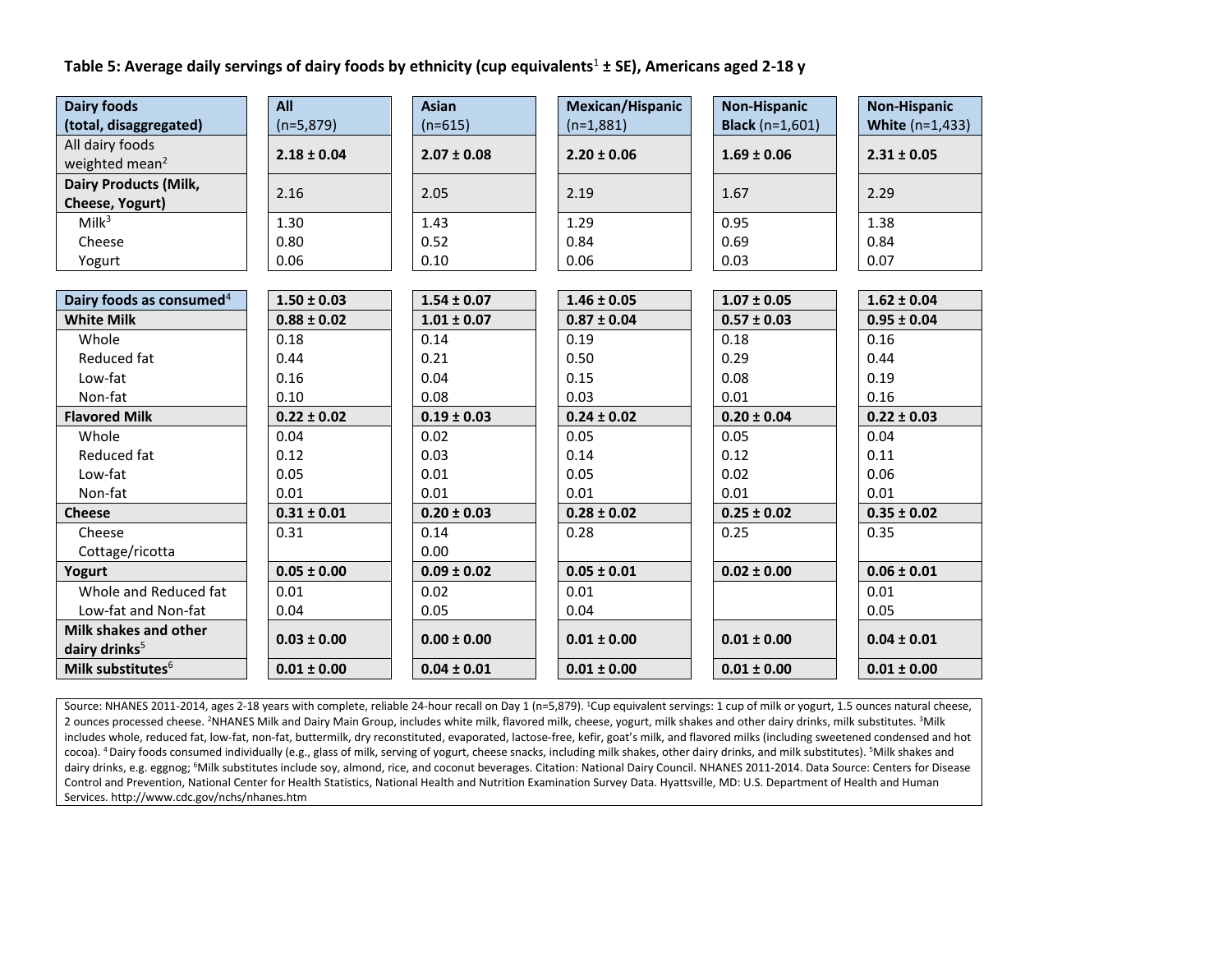# **Table 5: Average daily servings of dairy foods by ethnicity (cup equivalents**<sup>1</sup> **± SE), Americans aged 2-18 y**

| <b>Dairy foods</b>                   | All             | <b>Asian</b>    | Mexican/Hispanic | <b>Non-Hispanic</b>        | <b>Non-Hispanic</b>    |
|--------------------------------------|-----------------|-----------------|------------------|----------------------------|------------------------|
| (total, disaggregated)               | $(n=5,879)$     | $(n=615)$       | $(n=1,881)$      | <b>Black</b> ( $n=1,601$ ) | <b>White (n=1,433)</b> |
| All dairy foods                      | $2.18 \pm 0.04$ | $2.07 \pm 0.08$ | $2.20 \pm 0.06$  | $1.69 \pm 0.06$            | $2.31 \pm 0.05$        |
| weighted mean <sup>2</sup>           |                 |                 |                  |                            |                        |
| <b>Dairy Products (Milk,</b>         | 2.16            | 2.05            | 2.19             | 1.67                       | 2.29                   |
| Cheese, Yogurt)                      |                 |                 |                  |                            |                        |
| Milk <sup>3</sup>                    | 1.30            | 1.43            | 1.29             | 0.95                       | 1.38                   |
| Cheese                               | 0.80            | 0.52            | 0.84             | 0.69                       | 0.84                   |
| Yogurt                               | 0.06            | 0.10            | 0.06             | 0.03                       | 0.07                   |
|                                      |                 |                 |                  |                            |                        |
| Dairy foods as consumed <sup>4</sup> | $1.50 \pm 0.03$ | $1.54 \pm 0.07$ | $1.46 \pm 0.05$  | $1.07 \pm 0.05$            | $1.62 \pm 0.04$        |
| <b>White Milk</b>                    | $0.88 \pm 0.02$ | $1.01 \pm 0.07$ | $0.87 \pm 0.04$  | $0.57 \pm 0.03$            | $0.95 \pm 0.04$        |
| Whole                                | 0.18            | 0.14            | 0.19             | 0.18                       | 0.16                   |
| Reduced fat                          | 0.44            | 0.21            | 0.50             | 0.29                       | 0.44                   |
| Low-fat                              | 0.16            | 0.04            | 0.15             | 0.08                       | 0.19                   |
| Non-fat                              | 0.10            | 0.08            | 0.03             | 0.01                       | 0.16                   |
| <b>Flavored Milk</b>                 | $0.22 \pm 0.02$ | $0.19 \pm 0.03$ | $0.24 \pm 0.02$  | $0.20 \pm 0.04$            | $0.22 \pm 0.03$        |
| Whole                                | 0.04            | 0.02            | 0.05             | 0.05                       | 0.04                   |
| Reduced fat                          | 0.12            | 0.03            | 0.14             | 0.12                       | 0.11                   |
| Low-fat                              | 0.05            | 0.01            | 0.05             | 0.02                       | 0.06                   |
| Non-fat                              | 0.01            | 0.01            | 0.01             | 0.01                       | 0.01                   |
| <b>Cheese</b>                        | $0.31 \pm 0.01$ | $0.20 \pm 0.03$ | $0.28 \pm 0.02$  | $0.25 \pm 0.02$            | $0.35 \pm 0.02$        |
| Cheese                               | 0.31            | 0.14            | 0.28             | 0.25                       | 0.35                   |
| Cottage/ricotta                      |                 | 0.00            |                  |                            |                        |
| Yogurt                               | $0.05 \pm 0.00$ | $0.09 \pm 0.02$ | $0.05 \pm 0.01$  | $0.02 \pm 0.00$            | $0.06 \pm 0.01$        |
| Whole and Reduced fat                | 0.01            | 0.02            | 0.01             |                            | 0.01                   |
| Low-fat and Non-fat                  | 0.04            | 0.05            | 0.04             |                            | 0.05                   |
| Milk shakes and other                | $0.03 \pm 0.00$ | $0.00 \pm 0.00$ | $0.01 \pm 0.00$  | $0.01 \pm 0.00$            | $0.04 \pm 0.01$        |
| dairy drinks <sup>5</sup>            |                 |                 |                  |                            |                        |
| Milk substitutes <sup>6</sup>        | $0.01 \pm 0.00$ | $0.04 \pm 0.01$ | $0.01 \pm 0.00$  | $0.01 \pm 0.00$            | $0.01 \pm 0.00$        |

Source: NHANES 2011-2014, ages 2-18 years with complete, reliable 24-hour recall on Day 1 (n=5,879). <sup>1</sup>Cup equivalent servings: 1 cup of milk or yogurt, 1.5 ounces natural cheese, 2 ounces processed cheese. <sup>2</sup>NHANES Milk and Dairy Main Group, includes white milk, flavored milk, cheese, yogurt, milk shakes and other dairy drinks, milk substitutes. <sup>3</sup>Milk includes whole, reduced fat, low-fat, non-fat, buttermilk, dry reconstituted, evaporated, lactose-free, kefir, goat's milk, and flavored milks (including sweetened condensed and hot cocoa). <sup>4</sup> Dairy foods consumed individually (e.g., glass of milk, serving of yogurt, cheese snacks, including milk shakes, other dairy drinks, and milk substitutes). <sup>5</sup>Milk shakes and dairy drinks, e.g. eggnog; <sup>6</sup>Milk substitutes include soy, almond, rice, and coconut beverages. Citation: National Dairy Council. NHANES 2011-2014. Data Source: Centers for Disease Control and Prevention, National Center for Health Statistics, National Health and Nutrition Examination Survey Data. Hyattsville, MD: U.S. Department of Health and Human Services. http://www.cdc.gov/nchs/nhanes.htm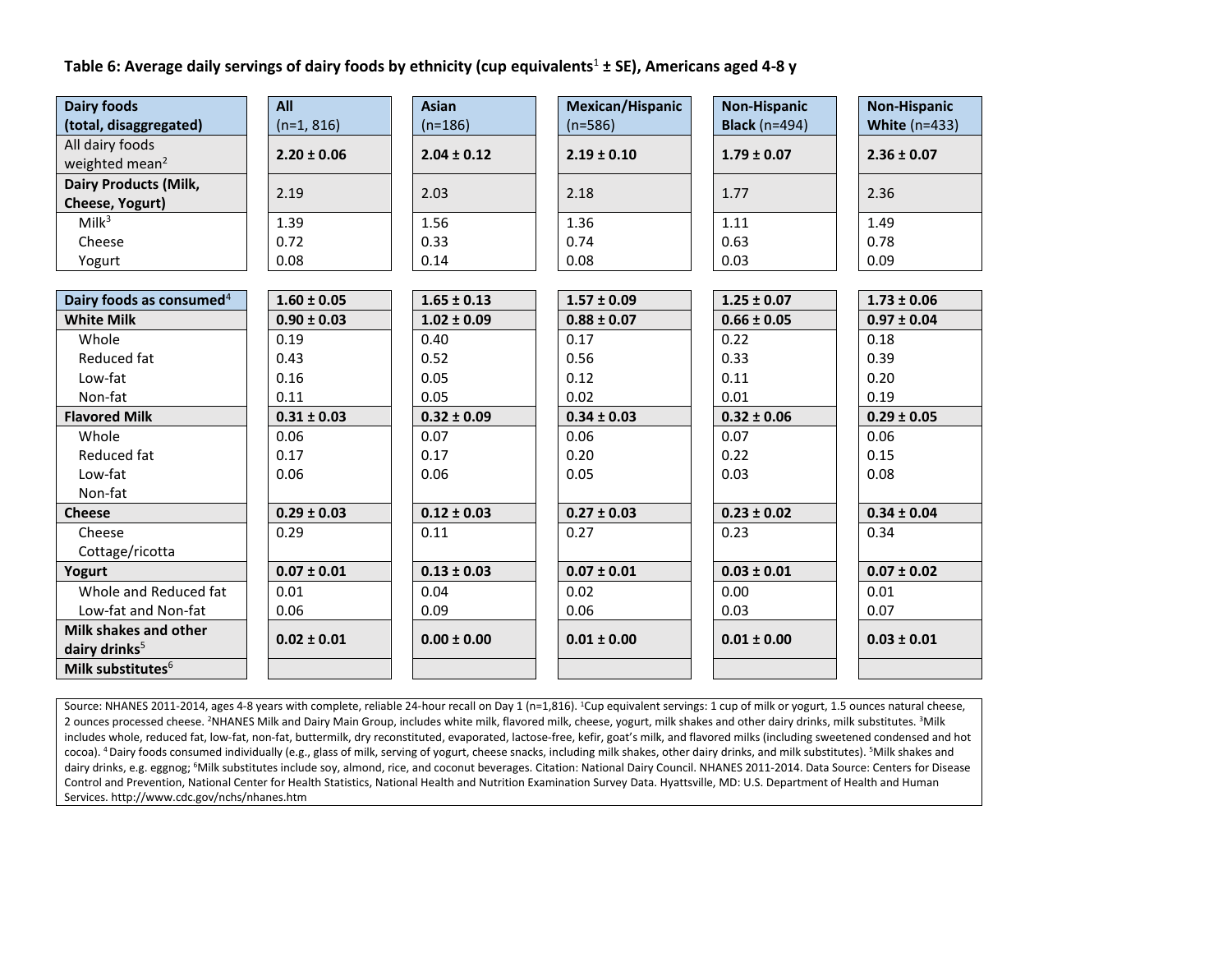# **Table 6: Average daily servings of dairy foods by ethnicity (cup equivalents**<sup>1</sup> **± SE), Americans aged 4-8 y**

| <b>Dairy foods</b>                   | All             | <b>Asian</b>    | Mexican/Hispanic | <b>Non-Hispanic</b>  | <b>Non-Hispanic</b> |
|--------------------------------------|-----------------|-----------------|------------------|----------------------|---------------------|
| (total, disaggregated)               | $(n=1, 816)$    | $(n=186)$       | $(n=586)$        | <b>Black</b> (n=494) | White $(n=433)$     |
| All dairy foods                      | $2.20 \pm 0.06$ | $2.04 \pm 0.12$ | $2.19 \pm 0.10$  | $1.79 \pm 0.07$      | $2.36 \pm 0.07$     |
| weighted mean <sup>2</sup>           |                 |                 |                  |                      |                     |
| <b>Dairy Products (Milk,</b>         | 2.19            | 2.03            | 2.18             | 1.77                 | 2.36                |
| Cheese, Yogurt)                      |                 |                 |                  |                      |                     |
| Milk <sup>3</sup>                    | 1.39            | 1.56            | 1.36             | 1.11                 | 1.49                |
| Cheese                               | 0.72            | 0.33            | 0.74             | 0.63                 | 0.78                |
| Yogurt                               | 0.08            | 0.14            | 0.08             | 0.03                 | 0.09                |
|                                      |                 |                 |                  |                      |                     |
| Dairy foods as consumed <sup>4</sup> | $1.60 \pm 0.05$ | $1.65 \pm 0.13$ | $1.57 \pm 0.09$  | $1.25 \pm 0.07$      | $1.73 \pm 0.06$     |
| <b>White Milk</b>                    | $0.90 \pm 0.03$ | $1.02 \pm 0.09$ | $0.88 \pm 0.07$  | $0.66 \pm 0.05$      | $0.97 \pm 0.04$     |
| Whole                                | 0.19            | 0.40            | 0.17             | 0.22                 | 0.18                |
| Reduced fat                          | 0.43            | 0.52            | 0.56             | 0.33                 | 0.39                |
| Low-fat                              | 0.16            | 0.05            | 0.12             | 0.11                 | 0.20                |
| Non-fat                              | 0.11            | 0.05            | 0.02             | 0.01                 | 0.19                |
| <b>Flavored Milk</b>                 | $0.31 \pm 0.03$ | $0.32 \pm 0.09$ | $0.34 \pm 0.03$  | $0.32 \pm 0.06$      | $0.29 \pm 0.05$     |
| Whole                                | 0.06            | 0.07            | 0.06             | 0.07                 | 0.06                |
| Reduced fat                          | 0.17            | 0.17            | 0.20             | 0.22                 | 0.15                |
| Low-fat                              | 0.06            | 0.06            | 0.05             | 0.03                 | 0.08                |
| Non-fat                              |                 |                 |                  |                      |                     |
| <b>Cheese</b>                        | $0.29 \pm 0.03$ | $0.12 \pm 0.03$ | $0.27 \pm 0.03$  | $0.23 \pm 0.02$      | $0.34 \pm 0.04$     |
| Cheese                               | 0.29            | 0.11            | 0.27             | 0.23                 | 0.34                |
| Cottage/ricotta                      |                 |                 |                  |                      |                     |
| Yogurt                               | $0.07 \pm 0.01$ | $0.13 \pm 0.03$ | $0.07 \pm 0.01$  | $0.03 \pm 0.01$      | $0.07 \pm 0.02$     |
| Whole and Reduced fat                | 0.01            | 0.04            | 0.02             | 0.00                 | 0.01                |
| Low-fat and Non-fat                  | 0.06            | 0.09            | 0.06             | 0.03                 | 0.07                |
| Milk shakes and other                | $0.02 \pm 0.01$ | $0.00 \pm 0.00$ | $0.01 \pm 0.00$  | $0.01 \pm 0.00$      | $0.03 \pm 0.01$     |
| dairy drinks <sup>5</sup>            |                 |                 |                  |                      |                     |
| Milk substitutes <sup>6</sup>        |                 |                 |                  |                      |                     |

Source: NHANES 2011-2014, ages 4-8 years with complete, reliable 24-hour recall on Day 1 (n=1,816). <sup>1</sup>Cup equivalent servings: 1 cup of milk or yogurt, 1.5 ounces natural cheese, 2 ounces processed cheese. <sup>2</sup>NHANES Milk and Dairy Main Group, includes white milk, flavored milk, cheese, yogurt, milk shakes and other dairy drinks, milk substitutes. <sup>3</sup>Milk includes whole, reduced fat, low-fat, non-fat, buttermilk, dry reconstituted, evaporated, lactose-free, kefir, goat's milk, and flavored milks (including sweetened condensed and hot cocoa). <sup>4</sup> Dairy foods consumed individually (e.g., glass of milk, serving of yogurt, cheese snacks, including milk shakes, other dairy drinks, and milk substitutes). <sup>5</sup>Milk shakes and dairy drinks, e.g. eggnog; <sup>6</sup>Milk substitutes include soy, almond, rice, and coconut beverages. Citation: National Dairy Council. NHANES 2011-2014. Data Source: Centers for Disease Control and Prevention, National Center for Health Statistics, National Health and Nutrition Examination Survey Data. Hyattsville, MD: U.S. Department of Health and Human Services. http://www.cdc.gov/nchs/nhanes.htm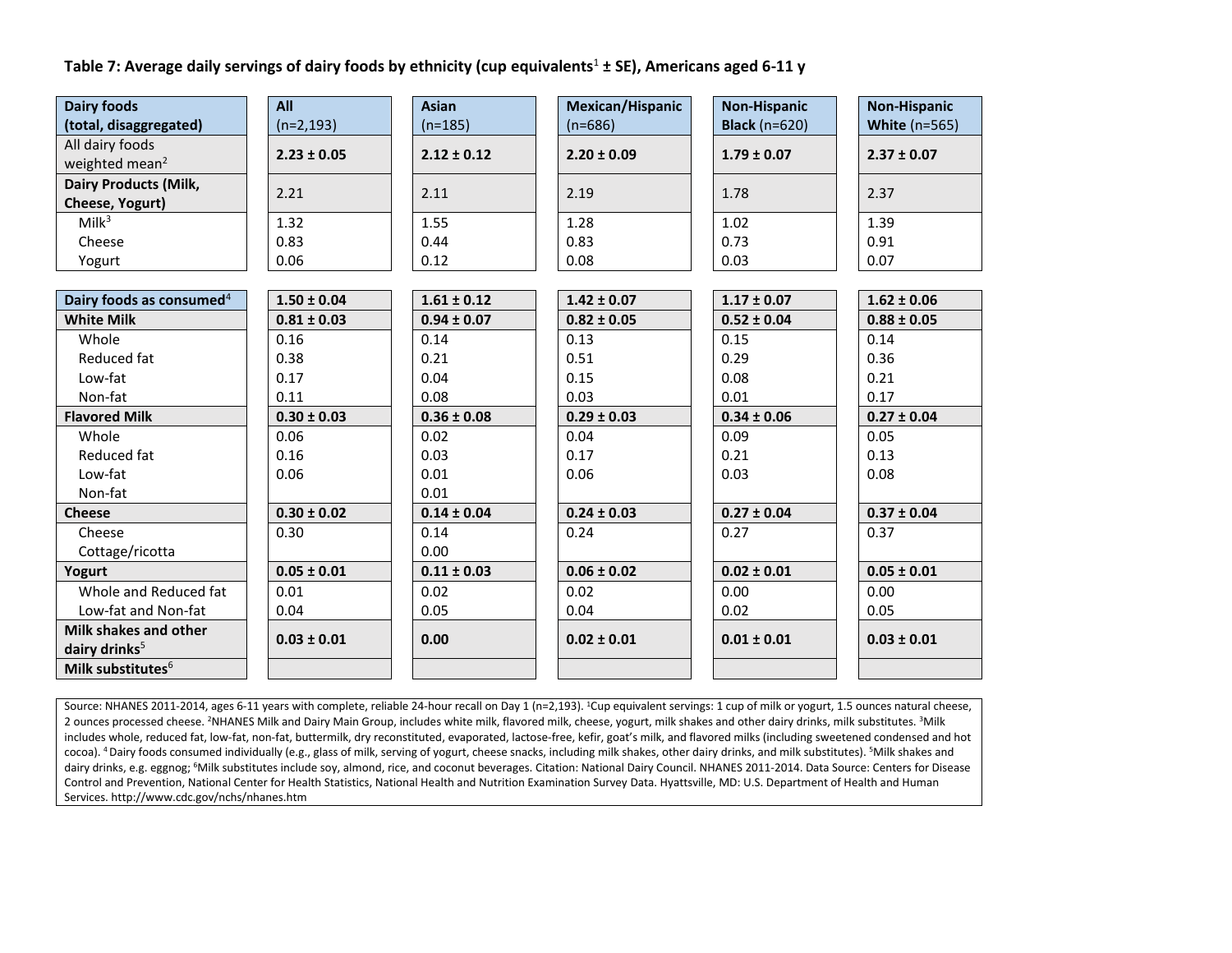# **Table 7: Average daily servings of dairy foods by ethnicity (cup equivalents**<sup>1</sup> **± SE), Americans aged 6-11 y**

| <b>Dairy foods</b>                   | All             | <b>Asian</b>    | Mexican/Hispanic | <b>Non-Hispanic</b>  | <b>Non-Hispanic</b>  |
|--------------------------------------|-----------------|-----------------|------------------|----------------------|----------------------|
| (total, disaggregated)               | $(n=2, 193)$    | $(n=185)$       | $(n=686)$        | <b>Black</b> (n=620) | <b>White (n=565)</b> |
| All dairy foods                      | $2.23 \pm 0.05$ | $2.12 \pm 0.12$ | $2.20 \pm 0.09$  | $1.79 \pm 0.07$      | $2.37 \pm 0.07$      |
| weighted mean <sup>2</sup>           |                 |                 |                  |                      |                      |
| <b>Dairy Products (Milk,</b>         | 2.21            | 2.11            | 2.19             | 1.78                 | 2.37                 |
| Cheese, Yogurt)                      |                 |                 |                  |                      |                      |
| Milk <sup>3</sup>                    | 1.32            | 1.55            | 1.28             | 1.02                 | 1.39                 |
| Cheese                               | 0.83            | 0.44            | 0.83             | 0.73                 | 0.91                 |
| Yogurt                               | 0.06            | 0.12            | 0.08             | 0.03                 | 0.07                 |
|                                      |                 |                 |                  |                      |                      |
| Dairy foods as consumed <sup>4</sup> | $1.50 \pm 0.04$ | $1.61 \pm 0.12$ | $1.42 \pm 0.07$  | $1.17 \pm 0.07$      | $1.62 \pm 0.06$      |
| <b>White Milk</b>                    | $0.81 \pm 0.03$ | $0.94 \pm 0.07$ | $0.82 \pm 0.05$  | $0.52 \pm 0.04$      | $0.88 \pm 0.05$      |
| Whole                                | 0.16            | 0.14            | 0.13             | 0.15                 | 0.14                 |
| Reduced fat                          | 0.38            | 0.21            | 0.51             | 0.29                 | 0.36                 |
| Low-fat                              | 0.17            | 0.04            | 0.15             | 0.08                 | 0.21                 |
| Non-fat                              | 0.11            | 0.08            | 0.03             | 0.01                 | 0.17                 |
| <b>Flavored Milk</b>                 | $0.30 \pm 0.03$ | $0.36 \pm 0.08$ | $0.29 \pm 0.03$  | $0.34 \pm 0.06$      | $0.27 \pm 0.04$      |
| Whole                                | 0.06            | 0.02            | 0.04             | 0.09                 | 0.05                 |
| Reduced fat                          | 0.16            | 0.03            | 0.17             | 0.21                 | 0.13                 |
| Low-fat                              | 0.06            | 0.01            | 0.06             | 0.03                 | 0.08                 |
| Non-fat                              |                 | 0.01            |                  |                      |                      |
| <b>Cheese</b>                        | $0.30 \pm 0.02$ | $0.14 \pm 0.04$ | $0.24 \pm 0.03$  | $0.27 \pm 0.04$      | $0.37 \pm 0.04$      |
| Cheese                               | 0.30            | 0.14            | 0.24             | 0.27                 | 0.37                 |
| Cottage/ricotta                      |                 | 0.00            |                  |                      |                      |
| Yogurt                               | $0.05 \pm 0.01$ | $0.11 \pm 0.03$ | $0.06 \pm 0.02$  | $0.02 \pm 0.01$      | $0.05 \pm 0.01$      |
| Whole and Reduced fat                | 0.01            | 0.02            | 0.02             | 0.00                 | 0.00                 |
| Low-fat and Non-fat                  | 0.04            | 0.05            | 0.04             | 0.02                 | 0.05                 |
| Milk shakes and other                | $0.03 \pm 0.01$ | 0.00            | $0.02 \pm 0.01$  | $0.01 \pm 0.01$      | $0.03 \pm 0.01$      |
| dairy drinks <sup>5</sup>            |                 |                 |                  |                      |                      |
| Milk substitutes <sup>6</sup>        |                 |                 |                  |                      |                      |

Source: NHANES 2011-2014, ages 6-11 years with complete, reliable 24-hour recall on Day 1 (n=2,193). <sup>1</sup>Cup equivalent servings: 1 cup of milk or yogurt, 1.5 ounces natural cheese, 2 ounces processed cheese. <sup>2</sup>NHANES Milk and Dairy Main Group, includes white milk, flavored milk, cheese, yogurt, milk shakes and other dairy drinks, milk substitutes. <sup>3</sup>Milk includes whole, reduced fat, low-fat, non-fat, buttermilk, dry reconstituted, evaporated, lactose-free, kefir, goat's milk, and flavored milks (including sweetened condensed and hot cocoa). <sup>4</sup> Dairy foods consumed individually (e.g., glass of milk, serving of yogurt, cheese snacks, including milk shakes, other dairy drinks, and milk substitutes). <sup>5</sup>Milk shakes and dairy drinks, e.g. eggnog; <sup>6</sup>Milk substitutes include soy, almond, rice, and coconut beverages. Citation: National Dairy Council. NHANES 2011-2014. Data Source: Centers for Disease Control and Prevention, National Center for Health Statistics, National Health and Nutrition Examination Survey Data. Hyattsville, MD: U.S. Department of Health and Human Services. http://www.cdc.gov/nchs/nhanes.htm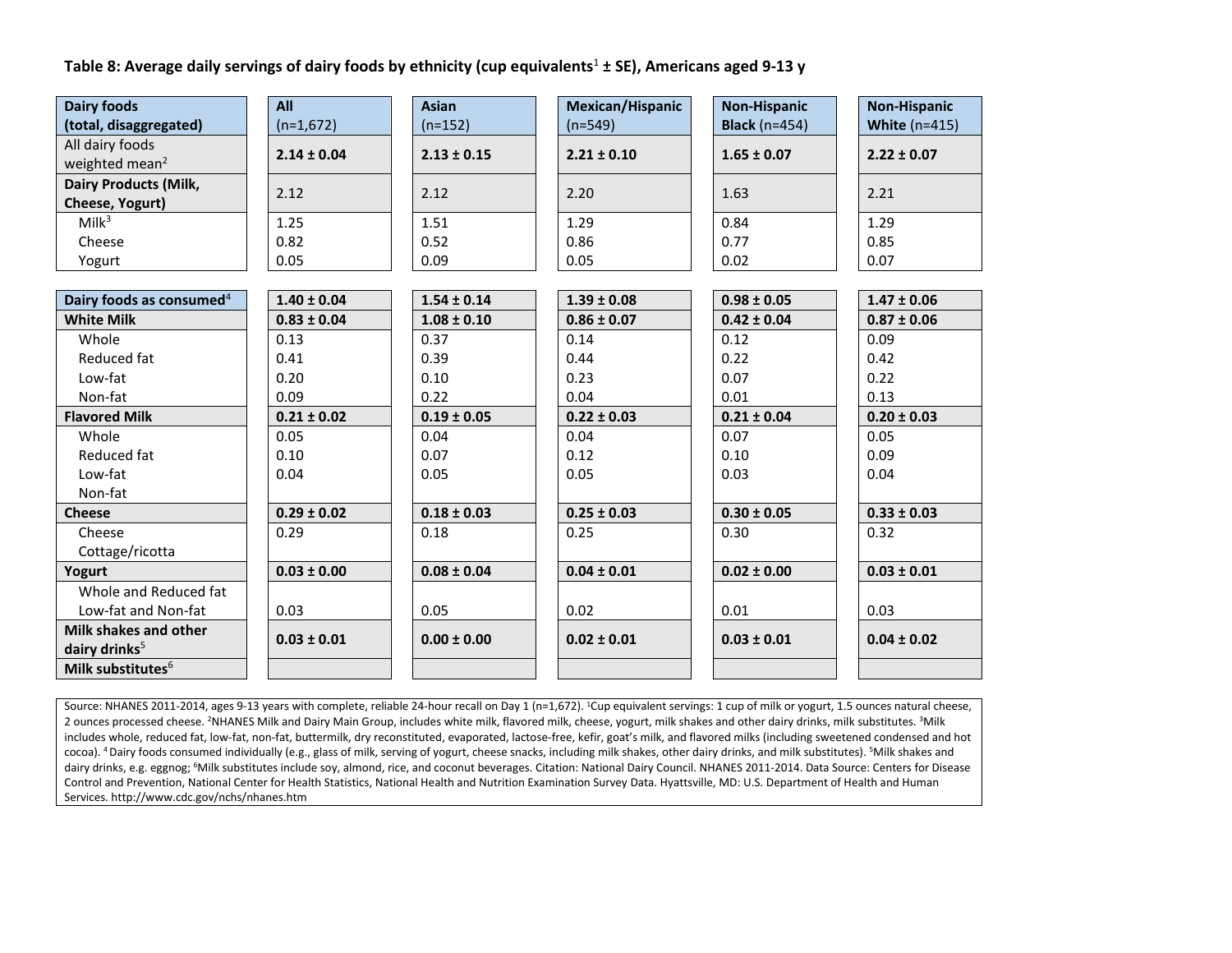# **Table 8: Average daily servings of dairy foods by ethnicity (cup equivalents**<sup>1</sup> **± SE), Americans aged 9-13 y**

| <b>Dairy foods</b>                   | All             | <b>Asian</b>    | Mexican/Hispanic | <b>Non-Hispanic</b>  | <b>Non-Hispanic</b> |
|--------------------------------------|-----------------|-----------------|------------------|----------------------|---------------------|
| (total, disaggregated)               | $(n=1,672)$     | $(n=152)$       | $(n=549)$        | <b>Black</b> (n=454) | White $(n=415)$     |
| All dairy foods                      | $2.14 \pm 0.04$ | $2.13 \pm 0.15$ | $2.21 \pm 0.10$  | $1.65 \pm 0.07$      | $2.22 \pm 0.07$     |
| weighted mean <sup>2</sup>           |                 |                 |                  |                      |                     |
| <b>Dairy Products (Milk,</b>         | 2.12            | 2.12            | 2.20             | 1.63                 | 2.21                |
| Cheese, Yogurt)                      |                 |                 |                  |                      |                     |
| Milk <sup>3</sup>                    | 1.25            | 1.51            | 1.29             | 0.84                 | 1.29                |
| Cheese                               | 0.82            | 0.52            | 0.86             | 0.77                 | 0.85                |
| Yogurt                               | 0.05            | 0.09            | 0.05             | 0.02                 | 0.07                |
|                                      |                 |                 |                  |                      |                     |
| Dairy foods as consumed <sup>4</sup> | $1.40 \pm 0.04$ | $1.54 \pm 0.14$ | $1.39 \pm 0.08$  | $0.98 \pm 0.05$      | $1.47 \pm 0.06$     |
| <b>White Milk</b>                    | $0.83 \pm 0.04$ | $1.08 \pm 0.10$ | $0.86 \pm 0.07$  | $0.42 \pm 0.04$      | $0.87 \pm 0.06$     |
| Whole                                | 0.13            | 0.37            | 0.14             | 0.12                 | 0.09                |
| Reduced fat                          | 0.41            | 0.39            | 0.44             | 0.22                 | 0.42                |
| Low-fat                              | 0.20            | 0.10            | 0.23             | 0.07                 | 0.22                |
| Non-fat                              | 0.09            | 0.22            | 0.04             | 0.01                 | 0.13                |
| <b>Flavored Milk</b>                 | $0.21 \pm 0.02$ | $0.19 \pm 0.05$ | $0.22 \pm 0.03$  | $0.21 \pm 0.04$      | $0.20 \pm 0.03$     |
| Whole                                | 0.05            | 0.04            | 0.04             | 0.07                 | 0.05                |
| Reduced fat                          | 0.10            | 0.07            | 0.12             | 0.10                 | 0.09                |
| Low-fat                              | 0.04            | 0.05            | 0.05             | 0.03                 | 0.04                |
| Non-fat                              |                 |                 |                  |                      |                     |
| <b>Cheese</b>                        | $0.29 \pm 0.02$ | $0.18 \pm 0.03$ | $0.25 \pm 0.03$  | $0.30 \pm 0.05$      | $0.33 \pm 0.03$     |
| Cheese                               | 0.29            | 0.18            | 0.25             | 0.30                 | 0.32                |
| Cottage/ricotta                      |                 |                 |                  |                      |                     |
| Yogurt                               | $0.03 \pm 0.00$ | $0.08 \pm 0.04$ | $0.04 \pm 0.01$  | $0.02 \pm 0.00$      | $0.03 \pm 0.01$     |
| Whole and Reduced fat                |                 |                 |                  |                      |                     |
| Low-fat and Non-fat                  | 0.03            | 0.05            | 0.02             | 0.01                 | 0.03                |
| Milk shakes and other                | $0.03 \pm 0.01$ | $0.00 \pm 0.00$ | $0.02 \pm 0.01$  | $0.03 \pm 0.01$      | $0.04 \pm 0.02$     |
| dairy drinks <sup>5</sup>            |                 |                 |                  |                      |                     |
| Milk substitutes <sup>6</sup>        |                 |                 |                  |                      |                     |

Source: NHANES 2011-2014, ages 9-13 years with complete, reliable 24-hour recall on Day 1 (n=1,672). <sup>1</sup>Cup equivalent servings: 1 cup of milk or yogurt, 1.5 ounces natural cheese, 2 ounces processed cheese. <sup>2</sup>NHANES Milk and Dairy Main Group, includes white milk, flavored milk, cheese, yogurt, milk shakes and other dairy drinks, milk substitutes. <sup>3</sup>Milk includes whole, reduced fat, low-fat, non-fat, buttermilk, dry reconstituted, evaporated, lactose-free, kefir, goat's milk, and flavored milks (including sweetened condensed and hot cocoa). <sup>4</sup> Dairy foods consumed individually (e.g., glass of milk, serving of yogurt, cheese snacks, including milk shakes, other dairy drinks, and milk substitutes). <sup>5</sup>Milk shakes and dairy drinks, e.g. eggnog; <sup>6</sup>Milk substitutes include soy, almond, rice, and coconut beverages. Citation: National Dairy Council. NHANES 2011-2014. Data Source: Centers for Disease Control and Prevention, National Center for Health Statistics, National Health and Nutrition Examination Survey Data. Hyattsville, MD: U.S. Department of Health and Human Services. http://www.cdc.gov/nchs/nhanes.htm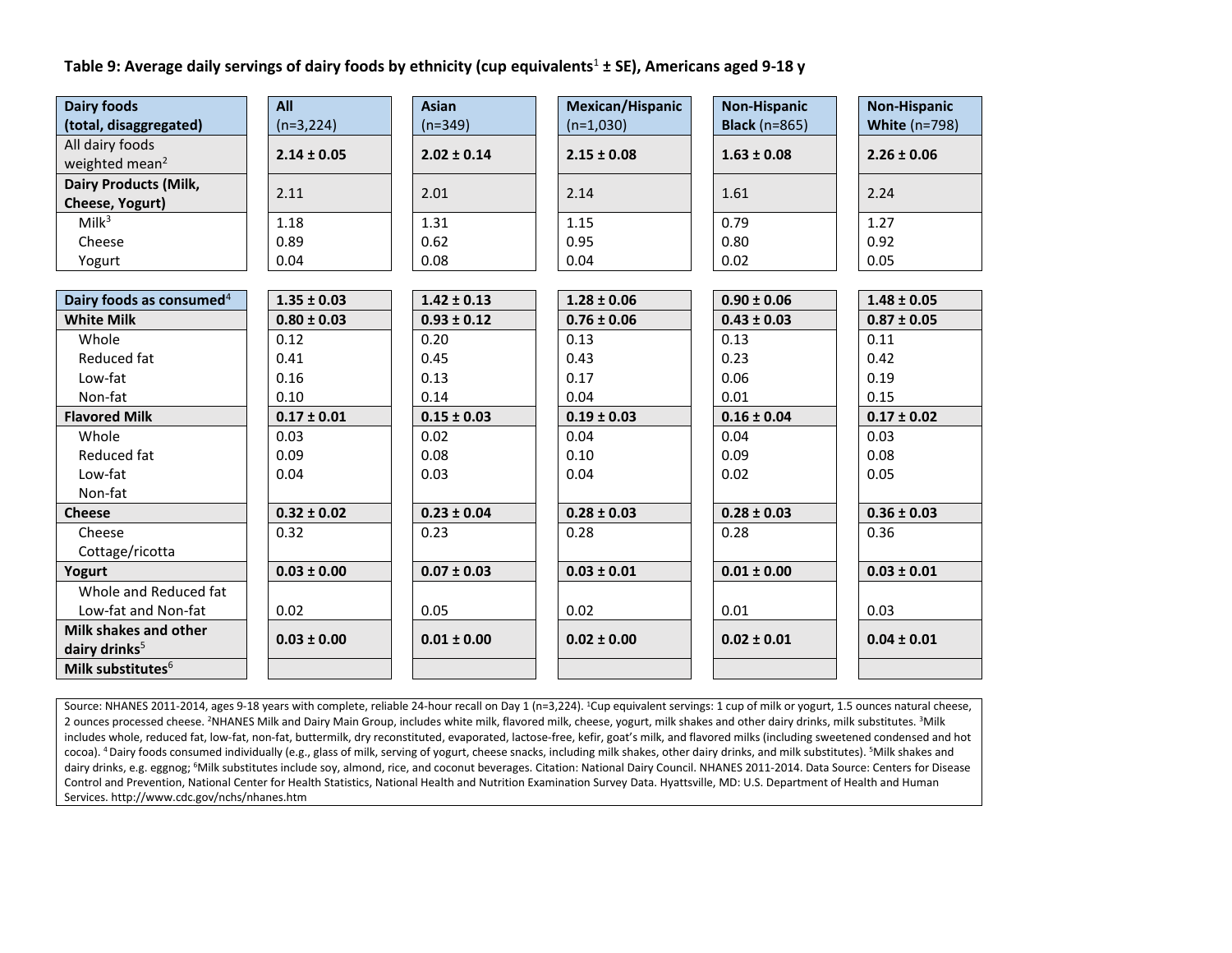# **Table 9: Average daily servings of dairy foods by ethnicity (cup equivalents**<sup>1</sup> **± SE), Americans aged 9-18 y**

| <b>Dairy foods</b>                   | All             | <b>Asian</b>    | Mexican/Hispanic | <b>Non-Hispanic</b>  | <b>Non-Hispanic</b>  |
|--------------------------------------|-----------------|-----------------|------------------|----------------------|----------------------|
| (total, disaggregated)               | $(n=3,224)$     | $(n=349)$       | $(n=1,030)$      | <b>Black</b> (n=865) | <b>White (n=798)</b> |
| All dairy foods                      | $2.14 \pm 0.05$ | $2.02 \pm 0.14$ | $2.15 \pm 0.08$  | $1.63 \pm 0.08$      | $2.26 \pm 0.06$      |
| weighted mean <sup>2</sup>           |                 |                 |                  |                      |                      |
| <b>Dairy Products (Milk,</b>         | 2.11            | 2.01            | 2.14             | 1.61                 | 2.24                 |
| Cheese, Yogurt)                      |                 |                 |                  |                      |                      |
| Milk <sup>3</sup>                    | 1.18            | 1.31            | 1.15             | 0.79                 | 1.27                 |
| Cheese                               | 0.89            | 0.62            | 0.95             | 0.80                 | 0.92                 |
| Yogurt                               | 0.04            | 0.08            | 0.04             | 0.02                 | 0.05                 |
|                                      |                 |                 |                  |                      |                      |
| Dairy foods as consumed <sup>4</sup> | $1.35 \pm 0.03$ | $1.42 \pm 0.13$ | $1.28 \pm 0.06$  | $0.90 \pm 0.06$      | $1.48 \pm 0.05$      |
| <b>White Milk</b>                    | $0.80 \pm 0.03$ | $0.93 \pm 0.12$ | $0.76 \pm 0.06$  | $0.43 \pm 0.03$      | $0.87 \pm 0.05$      |
| Whole                                | 0.12            | 0.20            | 0.13             | 0.13                 | 0.11                 |
| Reduced fat                          | 0.41            | 0.45            | 0.43             | 0.23                 | 0.42                 |
| Low-fat                              | 0.16            | 0.13            | 0.17             | 0.06                 | 0.19                 |
| Non-fat                              | 0.10            | 0.14            | 0.04             | 0.01                 | 0.15                 |
| <b>Flavored Milk</b>                 | $0.17 \pm 0.01$ | $0.15 \pm 0.03$ | $0.19 \pm 0.03$  | $0.16 \pm 0.04$      | $0.17 \pm 0.02$      |
| Whole                                | 0.03            | 0.02            | 0.04             | 0.04                 | 0.03                 |
| Reduced fat                          | 0.09            | 0.08            | 0.10             | 0.09                 | 0.08                 |
| Low-fat                              | 0.04            | 0.03            | 0.04             | 0.02                 | 0.05                 |
| Non-fat                              |                 |                 |                  |                      |                      |
| <b>Cheese</b>                        | $0.32 \pm 0.02$ | $0.23 \pm 0.04$ | $0.28 \pm 0.03$  | $0.28 \pm 0.03$      | $0.36 \pm 0.03$      |
| Cheese                               | 0.32            | 0.23            | 0.28             | 0.28                 | 0.36                 |
| Cottage/ricotta                      |                 |                 |                  |                      |                      |
| Yogurt                               | $0.03 \pm 0.00$ | $0.07 \pm 0.03$ | $0.03 \pm 0.01$  | $0.01 \pm 0.00$      | $0.03 \pm 0.01$      |
| Whole and Reduced fat                |                 |                 |                  |                      |                      |
| Low-fat and Non-fat                  | 0.02            | 0.05            | 0.02             | 0.01                 | 0.03                 |
| Milk shakes and other                | $0.03 \pm 0.00$ | $0.01 \pm 0.00$ | $0.02 \pm 0.00$  | $0.02 \pm 0.01$      | $0.04 \pm 0.01$      |
| dairy drinks <sup>5</sup>            |                 |                 |                  |                      |                      |
| Milk substitutes <sup>6</sup>        |                 |                 |                  |                      |                      |

Source: NHANES 2011-2014, ages 9-18 years with complete, reliable 24-hour recall on Day 1 (n=3,224). <sup>1</sup>Cup equivalent servings: 1 cup of milk or yogurt, 1.5 ounces natural cheese, 2 ounces processed cheese. <sup>2</sup>NHANES Milk and Dairy Main Group, includes white milk, flavored milk, cheese, yogurt, milk shakes and other dairy drinks, milk substitutes. <sup>3</sup>Milk includes whole, reduced fat, low-fat, non-fat, buttermilk, dry reconstituted, evaporated, lactose-free, kefir, goat's milk, and flavored milks (including sweetened condensed and hot cocoa). <sup>4</sup> Dairy foods consumed individually (e.g., glass of milk, serving of yogurt, cheese snacks, including milk shakes, other dairy drinks, and milk substitutes). <sup>5</sup>Milk shakes and dairy drinks, e.g. eggnog; <sup>6</sup>Milk substitutes include soy, almond, rice, and coconut beverages. Citation: National Dairy Council. NHANES 2011-2014. Data Source: Centers for Disease Control and Prevention, National Center for Health Statistics, National Health and Nutrition Examination Survey Data. Hyattsville, MD: U.S. Department of Health and Human Services. http://www.cdc.gov/nchs/nhanes.htm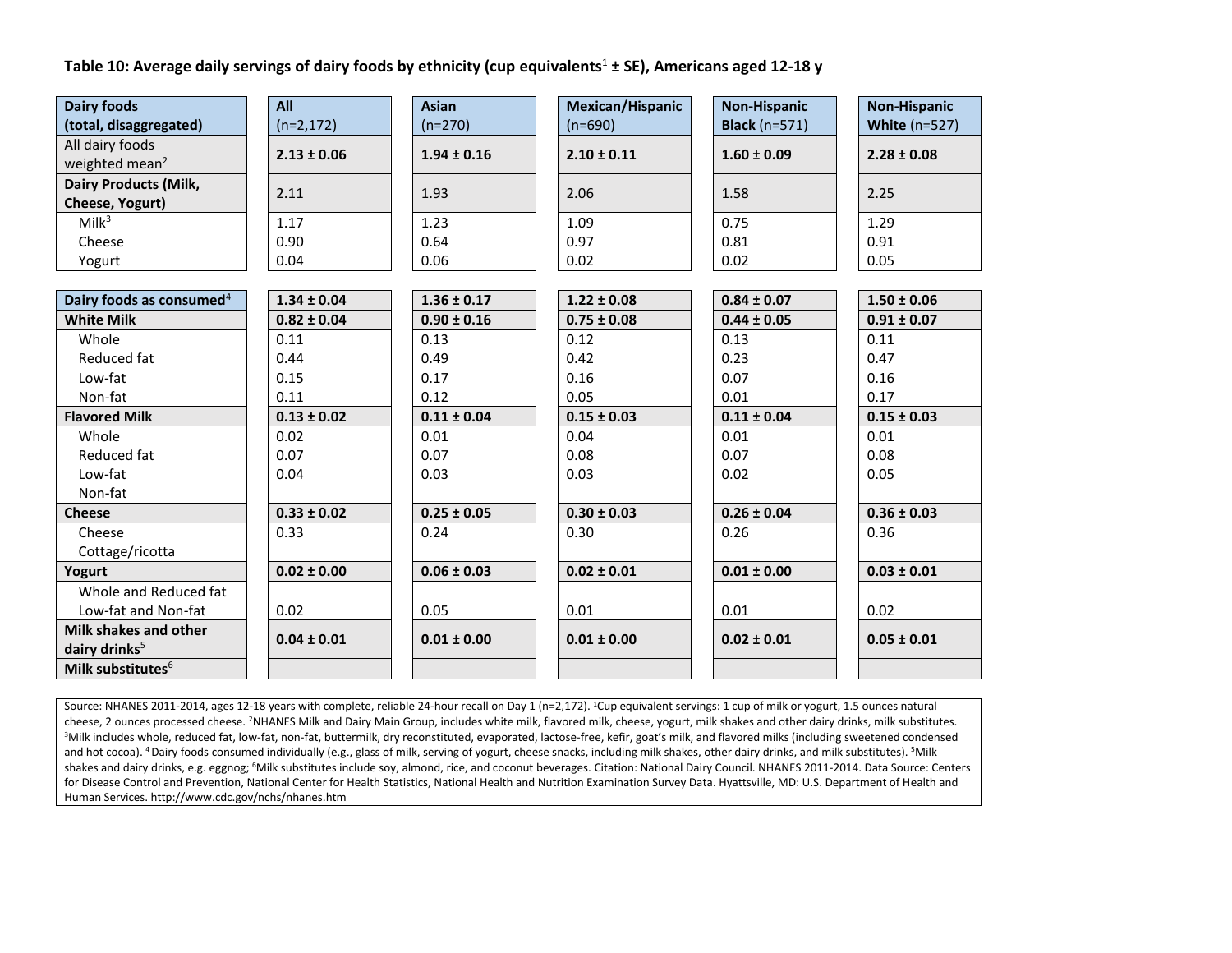**Table 10: Average daily servings of dairy foods by ethnicity (cup equivalents**<sup>1</sup> **± SE), Americans aged 12-18 y**

| <b>Dairy foods</b>                   | All             | <b>Asian</b>    | <b>Mexican/Hispanic</b> | <b>Non-Hispanic</b>  | <b>Non-Hispanic</b> |
|--------------------------------------|-----------------|-----------------|-------------------------|----------------------|---------------------|
| (total, disaggregated)               | $(n=2, 172)$    | $(n=270)$       | $(n=690)$               | <b>Black</b> (n=571) | White $(n=527)$     |
| All dairy foods                      | $2.13 \pm 0.06$ | $1.94 \pm 0.16$ | $2.10 \pm 0.11$         | $1.60 \pm 0.09$      | $2.28 \pm 0.08$     |
| weighted mean <sup>2</sup>           |                 |                 |                         |                      |                     |
| <b>Dairy Products (Milk,</b>         | 2.11            | 1.93            | 2.06                    | 1.58                 | 2.25                |
| Cheese, Yogurt)                      |                 |                 |                         |                      |                     |
| Milk <sup>3</sup>                    | 1.17            | 1.23            | 1.09                    | 0.75                 | 1.29                |
| Cheese                               | 0.90            | 0.64            | 0.97                    | 0.81                 | 0.91                |
| Yogurt                               | 0.04            | 0.06            | 0.02                    | 0.02                 | 0.05                |
|                                      |                 |                 |                         |                      |                     |
| Dairy foods as consumed <sup>4</sup> | $1.34 \pm 0.04$ | $1.36 \pm 0.17$ | $1.22 \pm 0.08$         | $0.84 \pm 0.07$      | $1.50 \pm 0.06$     |
| <b>White Milk</b>                    | $0.82 \pm 0.04$ | $0.90 \pm 0.16$ | $0.75 \pm 0.08$         | $0.44 \pm 0.05$      | $0.91 \pm 0.07$     |
| Whole                                | 0.11            | 0.13            | 0.12                    | 0.13                 | 0.11                |
| Reduced fat                          | 0.44            | 0.49            | 0.42                    | 0.23                 | 0.47                |
| Low-fat                              | 0.15            | 0.17            | 0.16                    | 0.07                 | 0.16                |
| Non-fat                              | 0.11            | 0.12            | 0.05                    | 0.01                 | 0.17                |
| <b>Flavored Milk</b>                 | $0.13 \pm 0.02$ | $0.11 \pm 0.04$ | $0.15 \pm 0.03$         | $0.11 \pm 0.04$      | $0.15 \pm 0.03$     |
| Whole                                | 0.02            | 0.01            | 0.04                    | 0.01                 | 0.01                |
| Reduced fat                          | 0.07            | 0.07            | 0.08                    | 0.07                 | 0.08                |
| Low-fat                              | 0.04            | 0.03            | 0.03                    | 0.02                 | 0.05                |
| Non-fat                              |                 |                 |                         |                      |                     |
| <b>Cheese</b>                        | $0.33 \pm 0.02$ | $0.25 \pm 0.05$ | $0.30 \pm 0.03$         | $0.26 \pm 0.04$      | $0.36 \pm 0.03$     |
| Cheese                               | 0.33            | 0.24            | 0.30                    | 0.26                 | 0.36                |
| Cottage/ricotta                      |                 |                 |                         |                      |                     |
| Yogurt                               | $0.02 \pm 0.00$ | $0.06 \pm 0.03$ | $0.02 \pm 0.01$         | $0.01 \pm 0.00$      | $0.03 \pm 0.01$     |
| Whole and Reduced fat                |                 |                 |                         |                      |                     |
| Low-fat and Non-fat                  | 0.02            | 0.05            | 0.01                    | 0.01                 | 0.02                |
| Milk shakes and other                | $0.04 \pm 0.01$ | $0.01 \pm 0.00$ | $0.01 \pm 0.00$         | $0.02 \pm 0.01$      | $0.05 \pm 0.01$     |
| dairy drinks <sup>5</sup>            |                 |                 |                         |                      |                     |
| Milk substitutes $6$                 |                 |                 |                         |                      |                     |

Source: NHANES 2011-2014, ages 12-18 years with complete, reliable 24-hour recall on Day 1 (n=2,172). <sup>1</sup>Cup equivalent servings: 1 cup of milk or yogurt, 1.5 ounces natural cheese, 2 ounces processed cheese. <sup>2</sup>NHANES Milk and Dairy Main Group, includes white milk, flavored milk, cheese, yogurt, milk shakes and other dairy drinks, milk substitutes. <sup>3</sup>Milk includes whole, reduced fat, low-fat, non-fat, buttermilk, dry reconstituted, evaporated, lactose-free, kefir, goat's milk, and flavored milks (including sweetened condensed and hot cocoa). <sup>4</sup> Dairy foods consumed individually (e.g., glass of milk, serving of yogurt, cheese snacks, including milk shakes, other dairy drinks, and milk substitutes). <sup>5</sup>Milk shakes and dairy drinks, e.g. eggnog; <sup>6</sup>Milk substitutes include soy, almond, rice, and coconut beverages. Citation: National Dairy Council. NHANES 2011-2014. Data Source: Centers for Disease Control and Prevention, National Center for Health Statistics, National Health and Nutrition Examination Survey Data. Hyattsville, MD: U.S. Department of Health and Human Services. http://www.cdc.gov/nchs/nhanes.htm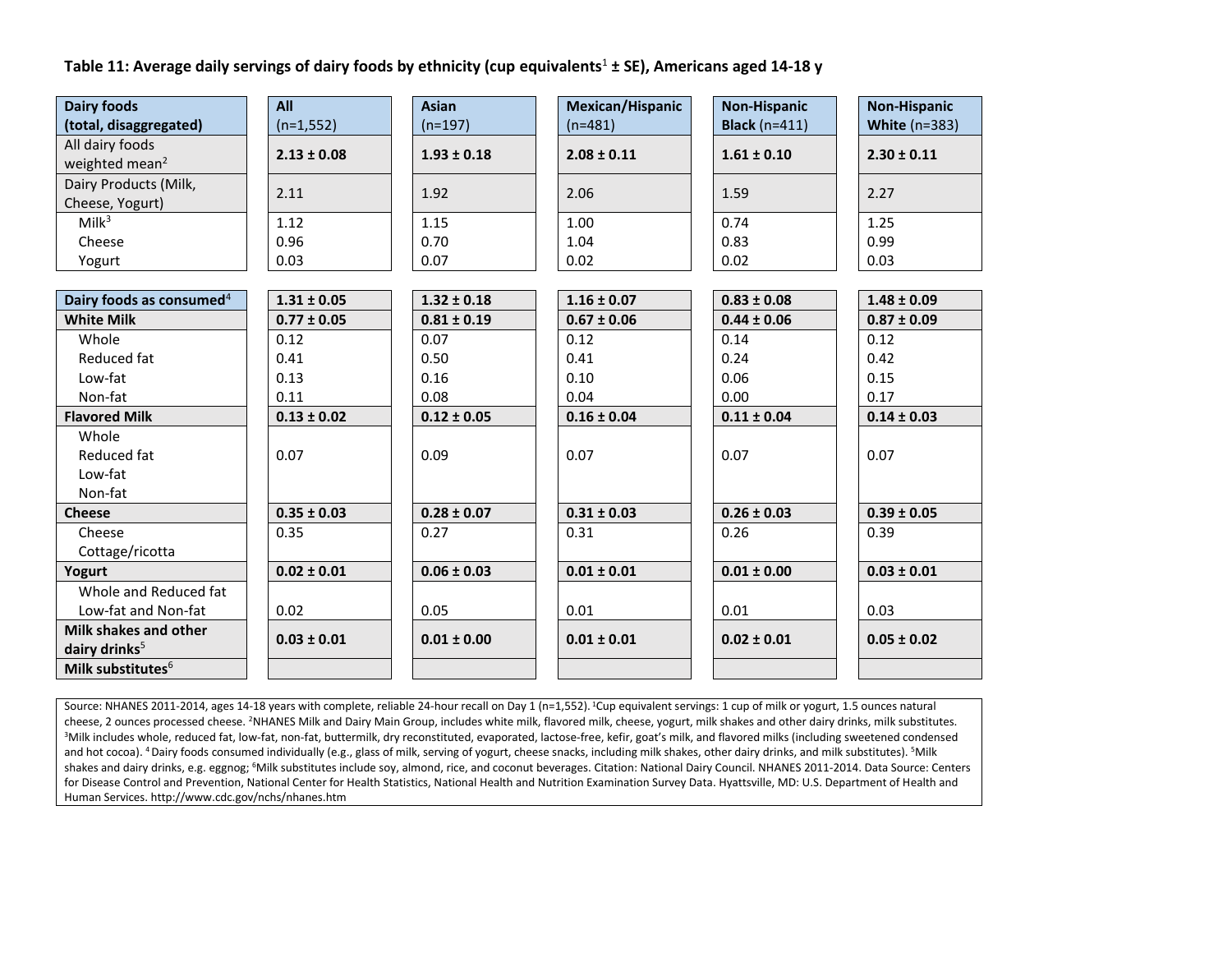#### **Table 11: Average daily servings of dairy foods by ethnicity (cup equivalents**<sup>1</sup> **± SE), Americans aged 14-18 y**

| <b>Dairy foods</b>                            | All             | <b>Asian</b>    | Mexican/Hispanic | <b>Non-Hispanic</b>  | <b>Non-Hispanic</b>  |
|-----------------------------------------------|-----------------|-----------------|------------------|----------------------|----------------------|
| (total, disaggregated)                        | $(n=1,552)$     | $(n=197)$       | $(n=481)$        | <b>Black</b> (n=411) | <b>White (n=383)</b> |
| All dairy foods<br>weighted mean <sup>2</sup> | $2.13 \pm 0.08$ | $1.93 \pm 0.18$ | $2.08 \pm 0.11$  | $1.61 \pm 0.10$      | $2.30 \pm 0.11$      |
| Dairy Products (Milk,<br>Cheese, Yogurt)      | 2.11            | 1.92            | 2.06             | 1.59                 | 2.27                 |
| Milk <sup>3</sup>                             | 1.12            | 1.15            | 1.00             | 0.74                 | 1.25                 |
| Cheese                                        | 0.96            | 0.70            | 1.04             | 0.83                 | 0.99                 |
| Yogurt                                        | 0.03            | 0.07            | 0.02             | 0.02                 | 0.03                 |
|                                               |                 |                 |                  |                      |                      |
| Dairy foods as consumed <sup>4</sup>          | $1.31 \pm 0.05$ | $1.32 \pm 0.18$ | $1.16 \pm 0.07$  | $0.83 \pm 0.08$      | $1.48 \pm 0.09$      |
| <b>White Milk</b>                             | $0.77 \pm 0.05$ | $0.81 \pm 0.19$ | $0.67 \pm 0.06$  | $0.44 \pm 0.06$      | $0.87 \pm 0.09$      |
| Whole                                         | 0.12            | 0.07            | 0.12             | 0.14                 | 0.12                 |
| Reduced fat                                   | 0.41            | 0.50            | 0.41             | 0.24                 | 0.42                 |
| Low-fat                                       | 0.13            | 0.16            | 0.10             | 0.06                 | 0.15                 |
| Non-fat                                       | 0.11            | 0.08            | 0.04             | 0.00                 | 0.17                 |
| <b>Flavored Milk</b>                          | $0.13 \pm 0.02$ | $0.12 \pm 0.05$ | $0.16 \pm 0.04$  | $0.11 \pm 0.04$      | $0.14 \pm 0.03$      |
| Whole<br>Reduced fat<br>Low-fat<br>Non-fat    | 0.07            | 0.09            | 0.07             | 0.07                 | 0.07                 |
| <b>Cheese</b>                                 | $0.35 \pm 0.03$ | $0.28 \pm 0.07$ | $0.31 \pm 0.03$  | $0.26 \pm 0.03$      | $0.39 \pm 0.05$      |
| Cheese<br>Cottage/ricotta                     | 0.35            | 0.27            | 0.31             | 0.26                 | 0.39                 |
| Yogurt                                        | $0.02 \pm 0.01$ | $0.06 \pm 0.03$ | $0.01 \pm 0.01$  | $0.01 \pm 0.00$      | $0.03 \pm 0.01$      |
| Whole and Reduced fat                         |                 |                 |                  |                      |                      |
| Low-fat and Non-fat                           | 0.02            | 0.05            | 0.01             | 0.01                 | 0.03                 |
| Milk shakes and other                         |                 |                 |                  |                      |                      |
| dairy drinks $5$                              | $0.03 \pm 0.01$ | $0.01 \pm 0.00$ | $0.01 \pm 0.01$  | $0.02 \pm 0.01$      | $0.05 \pm 0.02$      |
| Milk substitutes <sup>6</sup>                 |                 |                 |                  |                      |                      |

Source: NHANES 2011-2014, ages 14-18 years with complete, reliable 24-hour recall on Day 1 (n=1,552). <sup>1</sup>Cup equivalent servings: 1 cup of milk or yogurt, 1.5 ounces natural cheese, 2 ounces processed cheese. <sup>2</sup>NHANES Milk and Dairy Main Group, includes white milk, flavored milk, cheese, yogurt, milk shakes and other dairy drinks, milk substitutes. <sup>3</sup>Milk includes whole, reduced fat, low-fat, non-fat, buttermilk, dry reconstituted, evaporated, lactose-free, kefir, goat's milk, and flavored milks (including sweetened condensed and hot cocoa). <sup>4</sup> Dairy foods consumed individually (e.g., glass of milk, serving of yogurt, cheese snacks, including milk shakes, other dairy drinks, and milk substitutes). <sup>5</sup>Milk shakes and dairy drinks, e.g. eggnog; <sup>6</sup>Milk substitutes include soy, almond, rice, and coconut beverages. Citation: National Dairy Council. NHANES 2011-2014. Data Source: Centers for Disease Control and Prevention, National Center for Health Statistics, National Health and Nutrition Examination Survey Data. Hyattsville, MD: U.S. Department of Health and Human Services. http://www.cdc.gov/nchs/nhanes.htm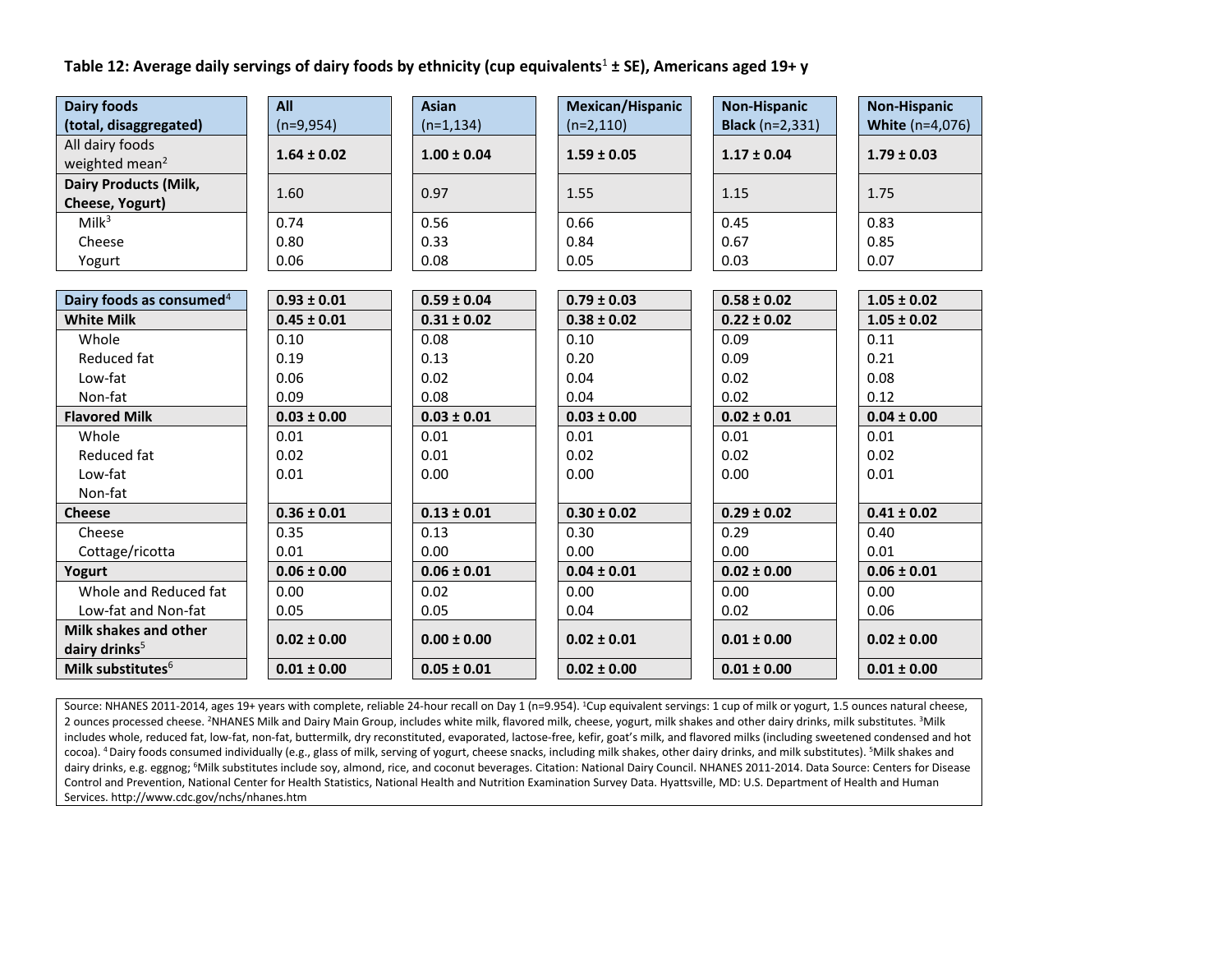# **Table 12: Average daily servings of dairy foods by ethnicity (cup equivalents**<sup>1</sup> **± SE), Americans aged 19+ y**

| <b>Dairy foods</b>                   | All             | <b>Asian</b>    | Mexican/Hispanic | <b>Non-Hispanic</b>    | <b>Non-Hispanic</b>    |
|--------------------------------------|-----------------|-----------------|------------------|------------------------|------------------------|
| (total, disaggregated)               | $(n=9,954)$     | $(n=1, 134)$    | $(n=2,110)$      | <b>Black</b> (n=2,331) | <b>White (n=4,076)</b> |
| All dairy foods                      | $1.64 \pm 0.02$ | $1.00 \pm 0.04$ | $1.59 \pm 0.05$  | $1.17 \pm 0.04$        | $1.79 \pm 0.03$        |
| weighted mean <sup>2</sup>           |                 |                 |                  |                        |                        |
| <b>Dairy Products (Milk,</b>         | 1.60            | 0.97            | 1.55             | 1.15                   | 1.75                   |
| Cheese, Yogurt)                      |                 |                 |                  |                        |                        |
| Milk <sup>3</sup>                    | 0.74            | 0.56            | 0.66             | 0.45                   | 0.83                   |
| Cheese                               | 0.80            | 0.33            | 0.84             | 0.67                   | 0.85                   |
| Yogurt                               | 0.06            | 0.08            | 0.05             | 0.03                   | 0.07                   |
|                                      |                 |                 |                  |                        |                        |
| Dairy foods as consumed <sup>4</sup> | $0.93 \pm 0.01$ | $0.59 \pm 0.04$ | $0.79 \pm 0.03$  | $0.58 \pm 0.02$        | $1.05 \pm 0.02$        |
| <b>White Milk</b>                    | $0.45 \pm 0.01$ | $0.31 \pm 0.02$ | $0.38 \pm 0.02$  | $0.22 \pm 0.02$        | $1.05 \pm 0.02$        |
| Whole                                | 0.10            | 0.08            | 0.10             | 0.09                   | 0.11                   |
| Reduced fat                          | 0.19            | 0.13            | 0.20             | 0.09                   | 0.21                   |
| Low-fat                              | 0.06            | 0.02            | 0.04             | 0.02                   | 0.08                   |
| Non-fat                              | 0.09            | 0.08            | 0.04             | 0.02                   | 0.12                   |
| <b>Flavored Milk</b>                 | $0.03 \pm 0.00$ | $0.03 \pm 0.01$ | $0.03 \pm 0.00$  | $0.02 \pm 0.01$        | $0.04 \pm 0.00$        |
| Whole                                | 0.01            | 0.01            | 0.01             | 0.01                   | 0.01                   |
| Reduced fat                          | 0.02            | 0.01            | 0.02             | 0.02                   | 0.02                   |
| Low-fat                              | 0.01            | 0.00            | 0.00             | 0.00                   | 0.01                   |
| Non-fat                              |                 |                 |                  |                        |                        |
| <b>Cheese</b>                        | $0.36 \pm 0.01$ | $0.13 \pm 0.01$ | $0.30 \pm 0.02$  | $0.29 \pm 0.02$        | $0.41 \pm 0.02$        |
| Cheese                               | 0.35            | 0.13            | 0.30             | 0.29                   | 0.40                   |
| Cottage/ricotta                      | 0.01            | 0.00            | 0.00             | 0.00                   | 0.01                   |
| Yogurt                               | $0.06 \pm 0.00$ | $0.06 \pm 0.01$ | $0.04 \pm 0.01$  | $0.02 \pm 0.00$        | $0.06 \pm 0.01$        |
| Whole and Reduced fat                | 0.00            | 0.02            | 0.00             | 0.00                   | 0.00                   |
| Low-fat and Non-fat                  | 0.05            | 0.05            | 0.04             | 0.02                   | 0.06                   |
| Milk shakes and other                | $0.02 \pm 0.00$ | $0.00 \pm 0.00$ | $0.02 \pm 0.01$  | $0.01 \pm 0.00$        | $0.02 \pm 0.00$        |
| dairy drinks <sup>5</sup>            |                 |                 |                  |                        |                        |
| Milk substitutes <sup>6</sup>        | $0.01 \pm 0.00$ | $0.05 \pm 0.01$ | $0.02 \pm 0.00$  | $0.01 \pm 0.00$        | $0.01 \pm 0.00$        |

Source: NHANES 2011-2014, ages 19+ years with complete, reliable 24-hour recall on Day 1 (n=9.954). <sup>1</sup>Cup equivalent servings: 1 cup of milk or yogurt, 1.5 ounces natural cheese, 2 ounces processed cheese. <sup>2</sup>NHANES Milk and Dairy Main Group, includes white milk, flavored milk, cheese, yogurt, milk shakes and other dairy drinks, milk substitutes. <sup>3</sup>Milk includes whole, reduced fat, low-fat, non-fat, buttermilk, dry reconstituted, evaporated, lactose-free, kefir, goat's milk, and flavored milks (including sweetened condensed and hot cocoa). <sup>4</sup> Dairy foods consumed individually (e.g., glass of milk, serving of yogurt, cheese snacks, including milk shakes, other dairy drinks, and milk substitutes). <sup>5</sup>Milk shakes and dairy drinks, e.g. eggnog; <sup>6</sup>Milk substitutes include soy, almond, rice, and coconut beverages. Citation: National Dairy Council. NHANES 2011-2014. Data Source: Centers for Disease Control and Prevention, National Center for Health Statistics, National Health and Nutrition Examination Survey Data. Hyattsville, MD: U.S. Department of Health and Human Services. http://www.cdc.gov/nchs/nhanes.htm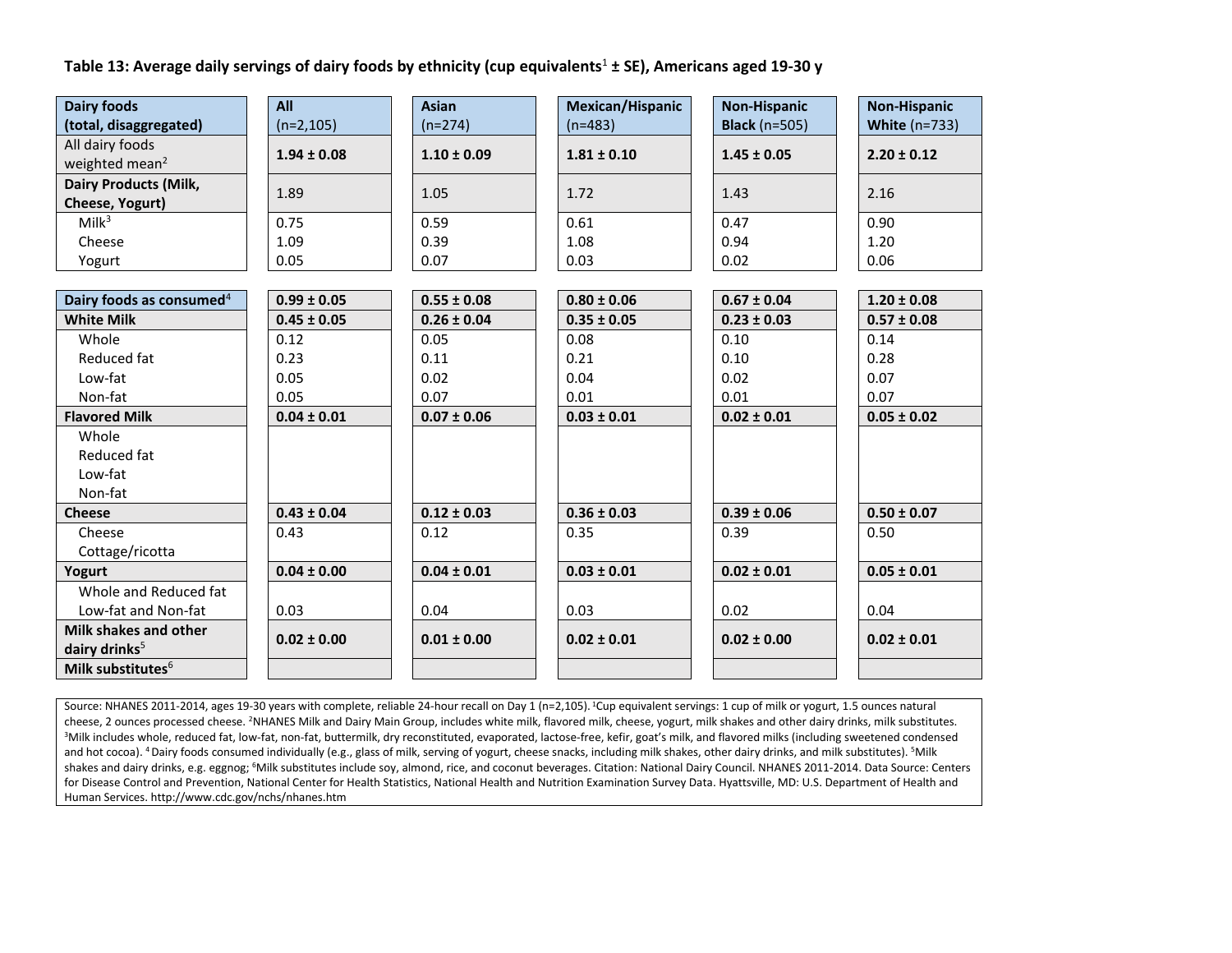#### **Table 13: Average daily servings of dairy foods by ethnicity (cup equivalents**<sup>1</sup> **± SE), Americans aged 19-30 y**

| <b>Dairy foods</b>                            | All             | <b>Asian</b>    | Mexican/Hispanic | <b>Non-Hispanic</b>  | <b>Non-Hispanic</b>  |
|-----------------------------------------------|-----------------|-----------------|------------------|----------------------|----------------------|
| (total, disaggregated)                        | $(n=2,105)$     | $(n=274)$       | $(n=483)$        | <b>Black</b> (n=505) | <b>White (n=733)</b> |
| All dairy foods<br>weighted mean <sup>2</sup> | $1.94 \pm 0.08$ | $1.10 \pm 0.09$ | $1.81 \pm 0.10$  | $1.45 \pm 0.05$      | $2.20 \pm 0.12$      |
| <b>Dairy Products (Milk,</b>                  |                 |                 |                  |                      |                      |
| Cheese, Yogurt)                               | 1.89            | 1.05            | 1.72             | 1.43                 | 2.16                 |
| Milk <sup>3</sup>                             | 0.75            | 0.59            | 0.61             | 0.47                 | 0.90                 |
| Cheese                                        | 1.09            | 0.39            | 1.08             | 0.94                 | 1.20                 |
| Yogurt                                        | 0.05            | 0.07            | 0.03             | 0.02                 | 0.06                 |
|                                               |                 |                 |                  |                      |                      |
| Dairy foods as consumed <sup>4</sup>          | $0.99 \pm 0.05$ | $0.55 \pm 0.08$ | $0.80 \pm 0.06$  | $0.67 \pm 0.04$      | $1.20 \pm 0.08$      |
| <b>White Milk</b>                             | $0.45 \pm 0.05$ | $0.26 \pm 0.04$ | $0.35 \pm 0.05$  | $0.23 \pm 0.03$      | $0.57 \pm 0.08$      |
| Whole                                         | 0.12            | 0.05            | 0.08             | 0.10                 | 0.14                 |
| Reduced fat                                   | 0.23            | 0.11            | 0.21             | 0.10                 | 0.28                 |
| Low-fat                                       | 0.05            | 0.02            | 0.04             | 0.02                 | 0.07                 |
| Non-fat                                       | 0.05            | 0.07            | 0.01             | 0.01                 | 0.07                 |
| <b>Flavored Milk</b>                          | $0.04 \pm 0.01$ | $0.07 \pm 0.06$ | $0.03 \pm 0.01$  | $0.02 \pm 0.01$      | $0.05 \pm 0.02$      |
| Whole                                         |                 |                 |                  |                      |                      |
| Reduced fat                                   |                 |                 |                  |                      |                      |
| Low-fat                                       |                 |                 |                  |                      |                      |
| Non-fat                                       |                 |                 |                  |                      |                      |
| <b>Cheese</b>                                 | $0.43 \pm 0.04$ | $0.12 \pm 0.03$ | $0.36 \pm 0.03$  | $0.39 \pm 0.06$      | $0.50 \pm 0.07$      |
| Cheese                                        | 0.43            | 0.12            | 0.35             | 0.39                 | 0.50                 |
| Cottage/ricotta                               |                 |                 |                  |                      |                      |
| Yogurt                                        | $0.04 \pm 0.00$ | $0.04 \pm 0.01$ | $0.03 \pm 0.01$  | $0.02 \pm 0.01$      | $0.05 \pm 0.01$      |
| Whole and Reduced fat                         |                 |                 |                  |                      |                      |
| Low-fat and Non-fat                           | 0.03            | 0.04            | 0.03             | 0.02                 | 0.04                 |
| Milk shakes and other                         | $0.02 \pm 0.00$ | $0.01 \pm 0.00$ | $0.02 \pm 0.01$  | $0.02 \pm 0.00$      | $0.02 \pm 0.01$      |
| dairy drinks <sup>5</sup>                     |                 |                 |                  |                      |                      |
| Milk substitutes <sup>6</sup>                 |                 |                 |                  |                      |                      |

Source: NHANES 2011-2014, ages 19-30 years with complete, reliable 24-hour recall on Day 1 (n=2,105). <sup>1</sup>Cup equivalent servings: 1 cup of milk or yogurt, 1.5 ounces natural cheese, 2 ounces processed cheese. <sup>2</sup>NHANES Milk and Dairy Main Group, includes white milk, flavored milk, cheese, yogurt, milk shakes and other dairy drinks, milk substitutes. <sup>3</sup>Milk includes whole, reduced fat, low-fat, non-fat, buttermilk, dry reconstituted, evaporated, lactose-free, kefir, goat's milk, and flavored milks (including sweetened condensed and hot cocoa). <sup>4</sup> Dairy foods consumed individually (e.g., glass of milk, serving of yogurt, cheese snacks, including milk shakes, other dairy drinks, and milk substitutes). <sup>5</sup>Milk shakes and dairy drinks, e.g. eggnog; <sup>6</sup>Milk substitutes include soy, almond, rice, and coconut beverages. Citation: National Dairy Council. NHANES 2011-2014. Data Source: Centers for Disease Control and Prevention, National Center for Health Statistics, National Health and Nutrition Examination Survey Data. Hyattsville, MD: U.S. Department of Health and Human Services. http://www.cdc.gov/nchs/nhanes.htm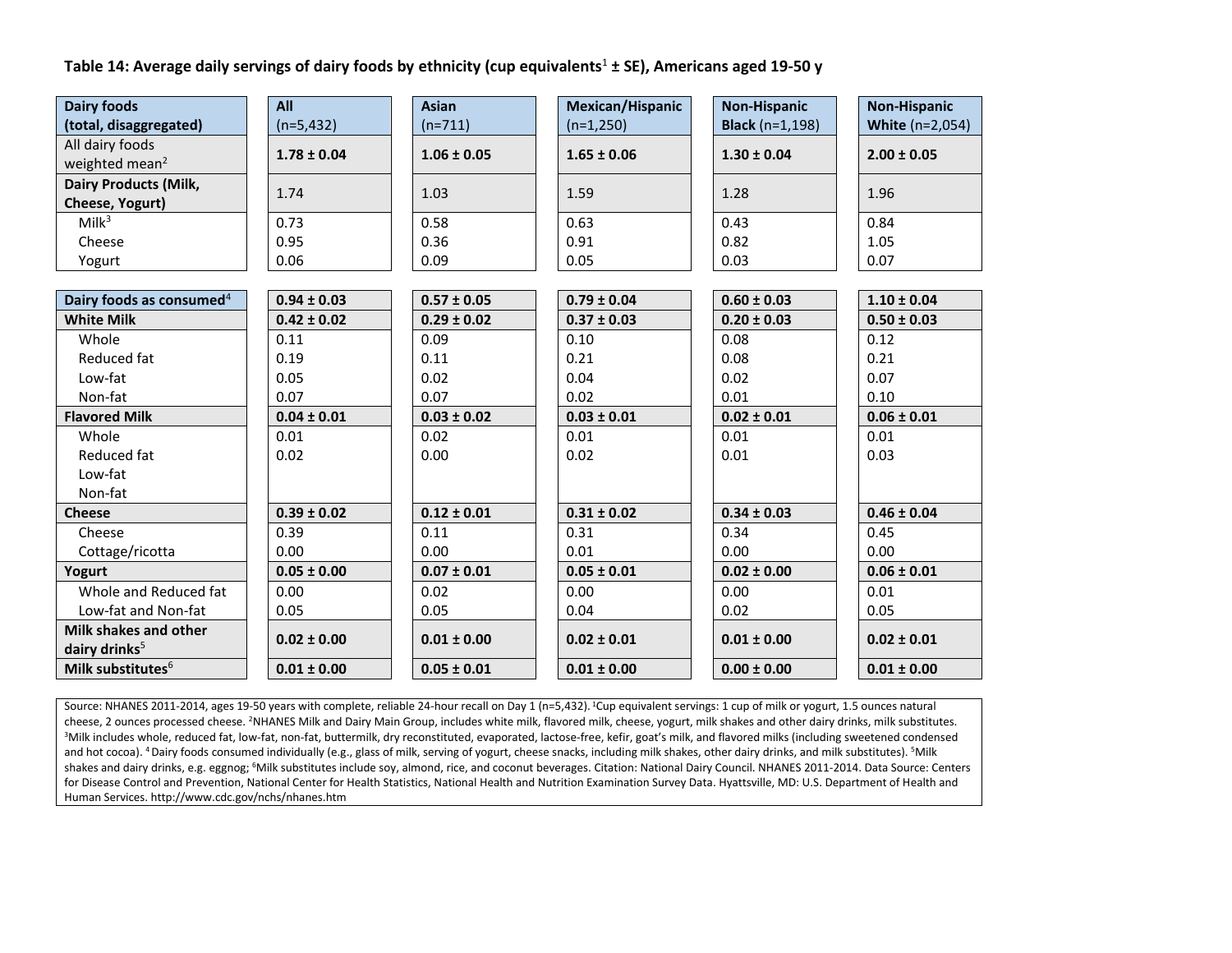#### **Table 14: Average daily servings of dairy foods by ethnicity (cup equivalents**<sup>1</sup> **± SE), Americans aged 19-50 y**

| <b>Dairy foods</b>                   | All             | <b>Asian</b>    | Mexican/Hispanic | <b>Non-Hispanic</b>    | <b>Non-Hispanic</b>    |
|--------------------------------------|-----------------|-----------------|------------------|------------------------|------------------------|
| (total, disaggregated)               | $(n=5, 432)$    | $(n=711)$       | $(n=1,250)$      | <b>Black</b> (n=1,198) | <b>White (n=2,054)</b> |
| All dairy foods                      | $1.78 \pm 0.04$ | $1.06 \pm 0.05$ | $1.65 \pm 0.06$  | $1.30 \pm 0.04$        | $2.00 \pm 0.05$        |
| weighted mean <sup>2</sup>           |                 |                 |                  |                        |                        |
| <b>Dairy Products (Milk,</b>         | 1.74            | 1.03            | 1.59             | 1.28                   | 1.96                   |
| Cheese, Yogurt)                      |                 |                 |                  |                        |                        |
| Milk <sup>3</sup>                    | 0.73            | 0.58            | 0.63             | 0.43                   | 0.84                   |
| Cheese                               | 0.95            | 0.36            | 0.91             | 0.82                   | 1.05                   |
| Yogurt                               | 0.06            | 0.09            | 0.05             | 0.03                   | 0.07                   |
|                                      |                 |                 |                  |                        |                        |
| Dairy foods as consumed <sup>4</sup> | $0.94 \pm 0.03$ | $0.57 \pm 0.05$ | $0.79 \pm 0.04$  | $0.60 \pm 0.03$        | $1.10 \pm 0.04$        |
| <b>White Milk</b>                    | $0.42 \pm 0.02$ | $0.29 \pm 0.02$ | $0.37 \pm 0.03$  | $0.20 \pm 0.03$        | $0.50 \pm 0.03$        |
| Whole                                | 0.11            | 0.09            | 0.10             | 0.08                   | 0.12                   |
| Reduced fat                          | 0.19            | 0.11            | 0.21             | 0.08                   | 0.21                   |
| Low-fat                              | 0.05            | 0.02            | 0.04             | 0.02                   | 0.07                   |
| Non-fat                              | 0.07            | 0.07            | 0.02             | 0.01                   | 0.10                   |
| <b>Flavored Milk</b>                 | $0.04 \pm 0.01$ | $0.03 \pm 0.02$ | $0.03 \pm 0.01$  | $0.02 \pm 0.01$        | $0.06 \pm 0.01$        |
| Whole                                | 0.01            | 0.02            | 0.01             | 0.01                   | 0.01                   |
| Reduced fat                          | 0.02            | 0.00            | 0.02             | 0.01                   | 0.03                   |
| Low-fat                              |                 |                 |                  |                        |                        |
| Non-fat                              |                 |                 |                  |                        |                        |
| <b>Cheese</b>                        | $0.39 \pm 0.02$ | $0.12 \pm 0.01$ | $0.31 \pm 0.02$  | $0.34 \pm 0.03$        | $0.46 \pm 0.04$        |
| Cheese                               | 0.39            | 0.11            | 0.31             | 0.34                   | 0.45                   |
| Cottage/ricotta                      | 0.00            | 0.00            | 0.01             | 0.00                   | 0.00                   |
| Yogurt                               | $0.05 \pm 0.00$ | $0.07 \pm 0.01$ | $0.05 \pm 0.01$  | $0.02 \pm 0.00$        | $0.06 \pm 0.01$        |
| Whole and Reduced fat                | 0.00            | 0.02            | 0.00             | 0.00                   | 0.01                   |
| Low-fat and Non-fat                  | 0.05            | 0.05            | 0.04             | 0.02                   | 0.05                   |
| Milk shakes and other                | $0.02 \pm 0.00$ | $0.01 \pm 0.00$ | $0.02 \pm 0.01$  | $0.01 \pm 0.00$        | $0.02 \pm 0.01$        |
| dairy drinks <sup>5</sup>            |                 |                 |                  |                        |                        |
| Milk substitutes <sup>6</sup>        | $0.01 \pm 0.00$ | $0.05 \pm 0.01$ | $0.01 \pm 0.00$  | $0.00 \pm 0.00$        | $0.01 \pm 0.00$        |

Source: NHANES 2011-2014, ages 19-50 years with complete, reliable 24-hour recall on Day 1 (n=5,432). <sup>1</sup>Cup equivalent servings: 1 cup of milk or yogurt, 1.5 ounces natural cheese, 2 ounces processed cheese. <sup>2</sup>NHANES Milk and Dairy Main Group, includes white milk, flavored milk, cheese, yogurt, milk shakes and other dairy drinks, milk substitutes. <sup>3</sup>Milk includes whole, reduced fat, low-fat, non-fat, buttermilk, dry reconstituted, evaporated, lactose-free, kefir, goat's milk, and flavored milks (including sweetened condensed and hot cocoa). <sup>4</sup> Dairy foods consumed individually (e.g., glass of milk, serving of yogurt, cheese snacks, including milk shakes, other dairy drinks, and milk substitutes). <sup>5</sup>Milk shakes and dairy drinks, e.g. eggnog; <sup>6</sup>Milk substitutes include soy, almond, rice, and coconut beverages. Citation: National Dairy Council. NHANES 2011-2014. Data Source: Centers for Disease Control and Prevention, National Center for Health Statistics, National Health and Nutrition Examination Survey Data. Hyattsville, MD: U.S. Department of Health and Human Services. http://www.cdc.gov/nchs/nhanes.htm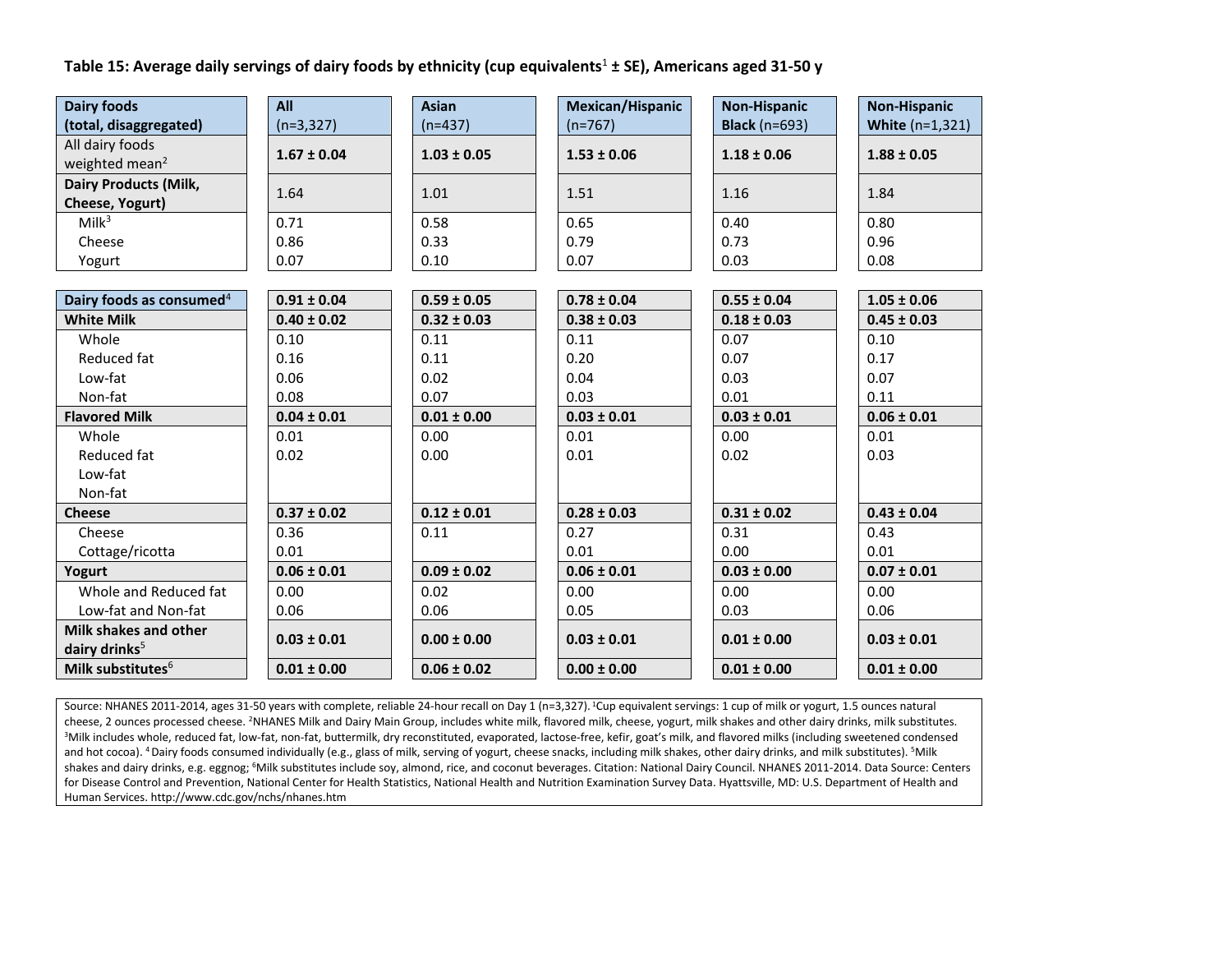# **Table 15: Average daily servings of dairy foods by ethnicity (cup equivalents**<sup>1</sup> **± SE), Americans aged 31-50 y**

| <b>Dairy foods</b>                   | All             | <b>Asian</b>    | <b>Mexican/Hispanic</b> | <b>Non-Hispanic</b>  | <b>Non-Hispanic</b>      |
|--------------------------------------|-----------------|-----------------|-------------------------|----------------------|--------------------------|
| (total, disaggregated)               | $(n=3,327)$     | $(n=437)$       | $(n=767)$               | <b>Black</b> (n=693) | <b>White</b> $(n=1,321)$ |
| All dairy foods                      | $1.67 \pm 0.04$ | $1.03 \pm 0.05$ | $1.53 \pm 0.06$         | $1.18 \pm 0.06$      | $1.88 \pm 0.05$          |
| weighted mean <sup>2</sup>           |                 |                 |                         |                      |                          |
| <b>Dairy Products (Milk,</b>         | 1.64            | 1.01            | 1.51                    | 1.16                 | 1.84                     |
| Cheese, Yogurt)                      |                 |                 |                         |                      |                          |
| Milk <sup>3</sup>                    | 0.71            | 0.58            | 0.65                    | 0.40                 | 0.80                     |
| Cheese                               | 0.86            | 0.33            | 0.79                    | 0.73                 | 0.96                     |
| Yogurt                               | 0.07            | 0.10            | 0.07                    | 0.03                 | 0.08                     |
|                                      |                 |                 |                         |                      |                          |
| Dairy foods as consumed <sup>4</sup> | $0.91 \pm 0.04$ | $0.59 \pm 0.05$ | $0.78 \pm 0.04$         | $0.55 \pm 0.04$      | $1.05 \pm 0.06$          |
| <b>White Milk</b>                    | $0.40 \pm 0.02$ | $0.32 \pm 0.03$ | $0.38 \pm 0.03$         | $0.18 \pm 0.03$      | $0.45 \pm 0.03$          |
| Whole                                | 0.10            | 0.11            | 0.11                    | 0.07                 | 0.10                     |
| Reduced fat                          | 0.16            | 0.11            | 0.20                    | 0.07                 | 0.17                     |
| Low-fat                              | 0.06            | 0.02            | 0.04                    | 0.03                 | 0.07                     |
| Non-fat                              | 0.08            | 0.07            | 0.03                    | 0.01                 | 0.11                     |
| <b>Flavored Milk</b>                 | $0.04 \pm 0.01$ | $0.01 \pm 0.00$ | $0.03 \pm 0.01$         | $0.03 \pm 0.01$      | $0.06 \pm 0.01$          |
| Whole                                | 0.01            | 0.00            | 0.01                    | 0.00                 | 0.01                     |
| Reduced fat                          | 0.02            | 0.00            | 0.01                    | 0.02                 | 0.03                     |
| Low-fat                              |                 |                 |                         |                      |                          |
| Non-fat                              |                 |                 |                         |                      |                          |
| <b>Cheese</b>                        | $0.37 \pm 0.02$ | $0.12 \pm 0.01$ | $0.28 \pm 0.03$         | $0.31 \pm 0.02$      | $0.43 \pm 0.04$          |
| Cheese                               | 0.36            | 0.11            | 0.27                    | 0.31                 | 0.43                     |
| Cottage/ricotta                      | 0.01            |                 | 0.01                    | 0.00                 | 0.01                     |
| Yogurt                               | $0.06 \pm 0.01$ | $0.09 \pm 0.02$ | $0.06 \pm 0.01$         | $0.03 \pm 0.00$      | $0.07 \pm 0.01$          |
| Whole and Reduced fat                | 0.00            | 0.02            | 0.00                    | 0.00                 | 0.00                     |
| Low-fat and Non-fat                  | 0.06            | 0.06            | 0.05                    | 0.03                 | 0.06                     |
| Milk shakes and other                | $0.03 \pm 0.01$ | $0.00 \pm 0.00$ | $0.03 \pm 0.01$         | $0.01 \pm 0.00$      | $0.03 \pm 0.01$          |
| dairy drinks <sup>5</sup>            |                 |                 |                         |                      |                          |
| Milk substitutes <sup>6</sup>        | $0.01 \pm 0.00$ | $0.06 \pm 0.02$ | $0.00 \pm 0.00$         | $0.01 \pm 0.00$      | $0.01 \pm 0.00$          |

Source: NHANES 2011-2014, ages 31-50 years with complete, reliable 24-hour recall on Day 1 (n=3,327). <sup>1</sup>Cup equivalent servings: 1 cup of milk or yogurt, 1.5 ounces natural cheese, 2 ounces processed cheese. <sup>2</sup>NHANES Milk and Dairy Main Group, includes white milk, flavored milk, cheese, yogurt, milk shakes and other dairy drinks, milk substitutes. <sup>3</sup>Milk includes whole, reduced fat, low-fat, non-fat, buttermilk, dry reconstituted, evaporated, lactose-free, kefir, goat's milk, and flavored milks (including sweetened condensed and hot cocoa). <sup>4</sup> Dairy foods consumed individually (e.g., glass of milk, serving of yogurt, cheese snacks, including milk shakes, other dairy drinks, and milk substitutes). <sup>5</sup>Milk shakes and dairy drinks, e.g. eggnog; <sup>6</sup>Milk substitutes include soy, almond, rice, and coconut beverages. Citation: National Dairy Council. NHANES 2011-2014. Data Source: Centers for Disease Control and Prevention, National Center for Health Statistics, National Health and Nutrition Examination Survey Data. Hyattsville, MD: U.S. Department of Health and Human Services. http://www.cdc.gov/nchs/nhanes.htm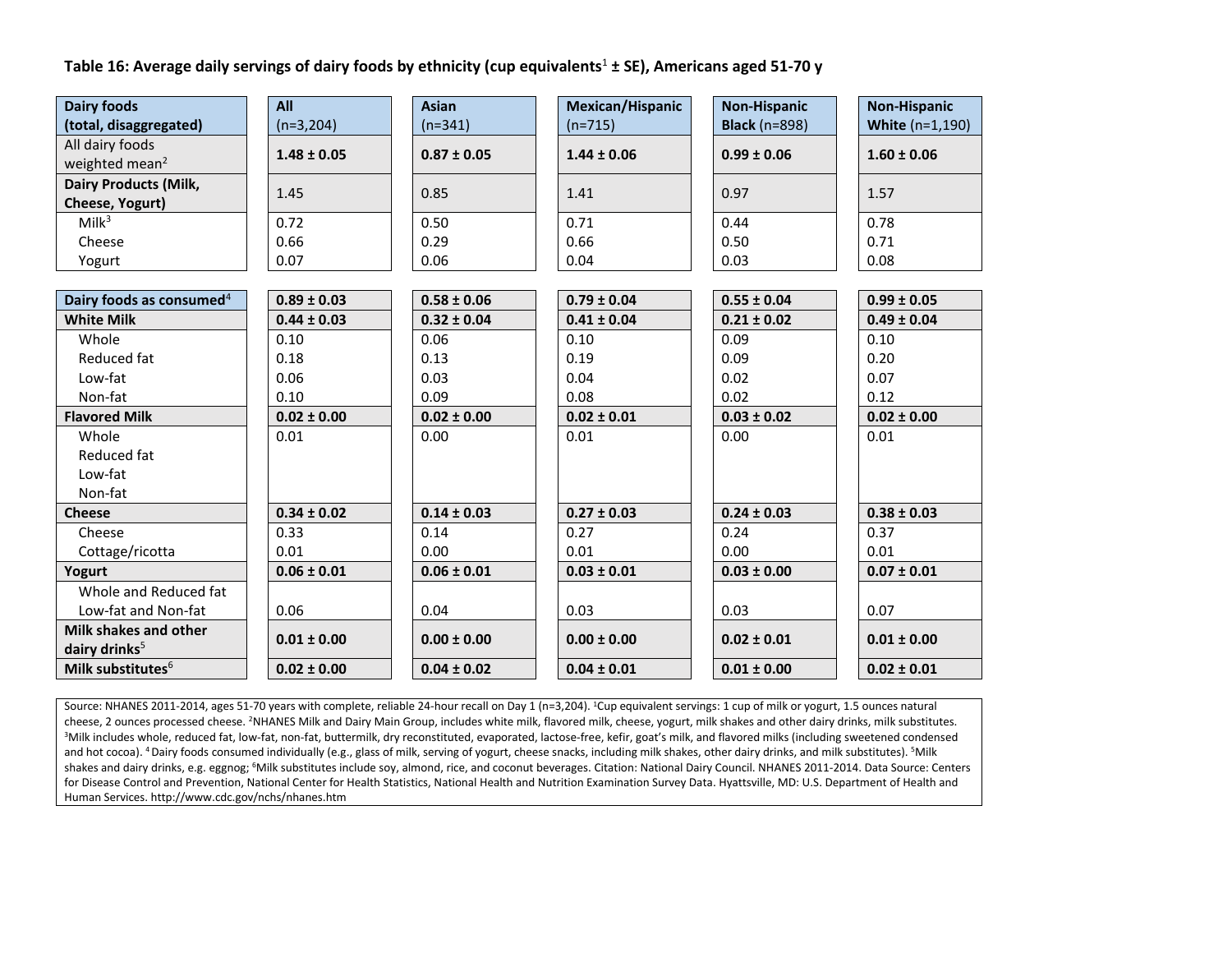**Table 16: Average daily servings of dairy foods by ethnicity (cup equivalents**<sup>1</sup> **± SE), Americans aged 51-70 y**

| <b>Dairy foods</b>                              | All             | <b>Asian</b>    | <b>Mexican/Hispanic</b> | <b>Non-Hispanic</b>  | <b>Non-Hispanic</b>    |
|-------------------------------------------------|-----------------|-----------------|-------------------------|----------------------|------------------------|
| (total, disaggregated)                          | $(n=3,204)$     | $(n=341)$       | $(n=715)$               | <b>Black</b> (n=898) | <b>White (n=1,190)</b> |
| All dairy foods<br>weighted mean <sup>2</sup>   | $1.48 \pm 0.05$ | $0.87 \pm 0.05$ | $1.44 \pm 0.06$         | $0.99 \pm 0.06$      | $1.60 \pm 0.06$        |
| <b>Dairy Products (Milk,</b><br>Cheese, Yogurt) | 1.45            | 0.85            | 1.41                    | 0.97                 | 1.57                   |
| Milk <sup>3</sup>                               | 0.72            | 0.50            | 0.71                    | 0.44                 | 0.78                   |
| Cheese                                          | 0.66            | 0.29            | 0.66                    | 0.50                 | 0.71                   |
| Yogurt                                          | 0.07            | 0.06            | 0.04                    | 0.03                 | 0.08                   |
|                                                 |                 |                 |                         |                      |                        |
| Dairy foods as consumed <sup>4</sup>            | $0.89 \pm 0.03$ | $0.58 \pm 0.06$ | $0.79 \pm 0.04$         | $0.55 \pm 0.04$      | $0.99 \pm 0.05$        |
| <b>White Milk</b>                               | $0.44 \pm 0.03$ | $0.32 \pm 0.04$ | $0.41 \pm 0.04$         | $0.21 \pm 0.02$      | $0.49 \pm 0.04$        |
| Whole                                           | 0.10            | 0.06            | 0.10                    | 0.09                 | 0.10                   |
| Reduced fat                                     | 0.18            | 0.13            | 0.19                    | 0.09                 | 0.20                   |
| Low-fat                                         | 0.06            | 0.03            | 0.04                    | 0.02                 | 0.07                   |
| Non-fat                                         | 0.10            | 0.09            | 0.08                    | 0.02                 | 0.12                   |
| <b>Flavored Milk</b>                            | $0.02 \pm 0.00$ | $0.02 \pm 0.00$ | $0.02 \pm 0.01$         | $0.03 \pm 0.02$      | $0.02 \pm 0.00$        |
| Whole                                           | 0.01            | 0.00            | 0.01                    | 0.00                 | 0.01                   |
| Reduced fat                                     |                 |                 |                         |                      |                        |
| Low-fat                                         |                 |                 |                         |                      |                        |
| Non-fat                                         |                 |                 |                         |                      |                        |
| <b>Cheese</b>                                   | $0.34 \pm 0.02$ | $0.14 \pm 0.03$ | $0.27 \pm 0.03$         | $0.24 \pm 0.03$      | $0.38 \pm 0.03$        |
| Cheese                                          | 0.33            | 0.14            | 0.27                    | 0.24                 | 0.37                   |
| Cottage/ricotta                                 | 0.01            | 0.00            | 0.01                    | 0.00                 | 0.01                   |
| Yogurt                                          | $0.06 \pm 0.01$ | $0.06 \pm 0.01$ | $0.03 \pm 0.01$         | $0.03 \pm 0.00$      | $0.07 \pm 0.01$        |
| Whole and Reduced fat                           |                 |                 |                         |                      |                        |
| Low-fat and Non-fat                             | 0.06            | 0.04            | 0.03                    | 0.03                 | 0.07                   |
| Milk shakes and other                           | $0.01 \pm 0.00$ | $0.00 \pm 0.00$ | $0.00 \pm 0.00$         | $0.02 \pm 0.01$      | $0.01 \pm 0.00$        |
| dairy drinks <sup>5</sup>                       |                 |                 |                         |                      |                        |
| Milk substitutes <sup>6</sup>                   | $0.02 \pm 0.00$ | $0.04 \pm 0.02$ | $0.04 \pm 0.01$         | $0.01 \pm 0.00$      | $0.02 \pm 0.01$        |

Source: NHANES 2011-2014, ages 51-70 years with complete, reliable 24-hour recall on Day 1 (n=3,204). <sup>1</sup>Cup equivalent servings: 1 cup of milk or yogurt, 1.5 ounces natural cheese, 2 ounces processed cheese. <sup>2</sup>NHANES Milk and Dairy Main Group, includes white milk, flavored milk, cheese, yogurt, milk shakes and other dairy drinks, milk substitutes. <sup>3</sup>Milk includes whole, reduced fat, low-fat, non-fat, buttermilk, dry reconstituted, evaporated, lactose-free, kefir, goat's milk, and flavored milks (including sweetened condensed and hot cocoa). <sup>4</sup> Dairy foods consumed individually (e.g., glass of milk, serving of yogurt, cheese snacks, including milk shakes, other dairy drinks, and milk substitutes). <sup>5</sup>Milk shakes and dairy drinks, e.g. eggnog; <sup>6</sup>Milk substitutes include soy, almond, rice, and coconut beverages. Citation: National Dairy Council. NHANES 2011-2014. Data Source: Centers for Disease Control and Prevention, National Center for Health Statistics, National Health and Nutrition Examination Survey Data. Hyattsville, MD: U.S. Department of Health and Human Services. http://www.cdc.gov/nchs/nhanes.htm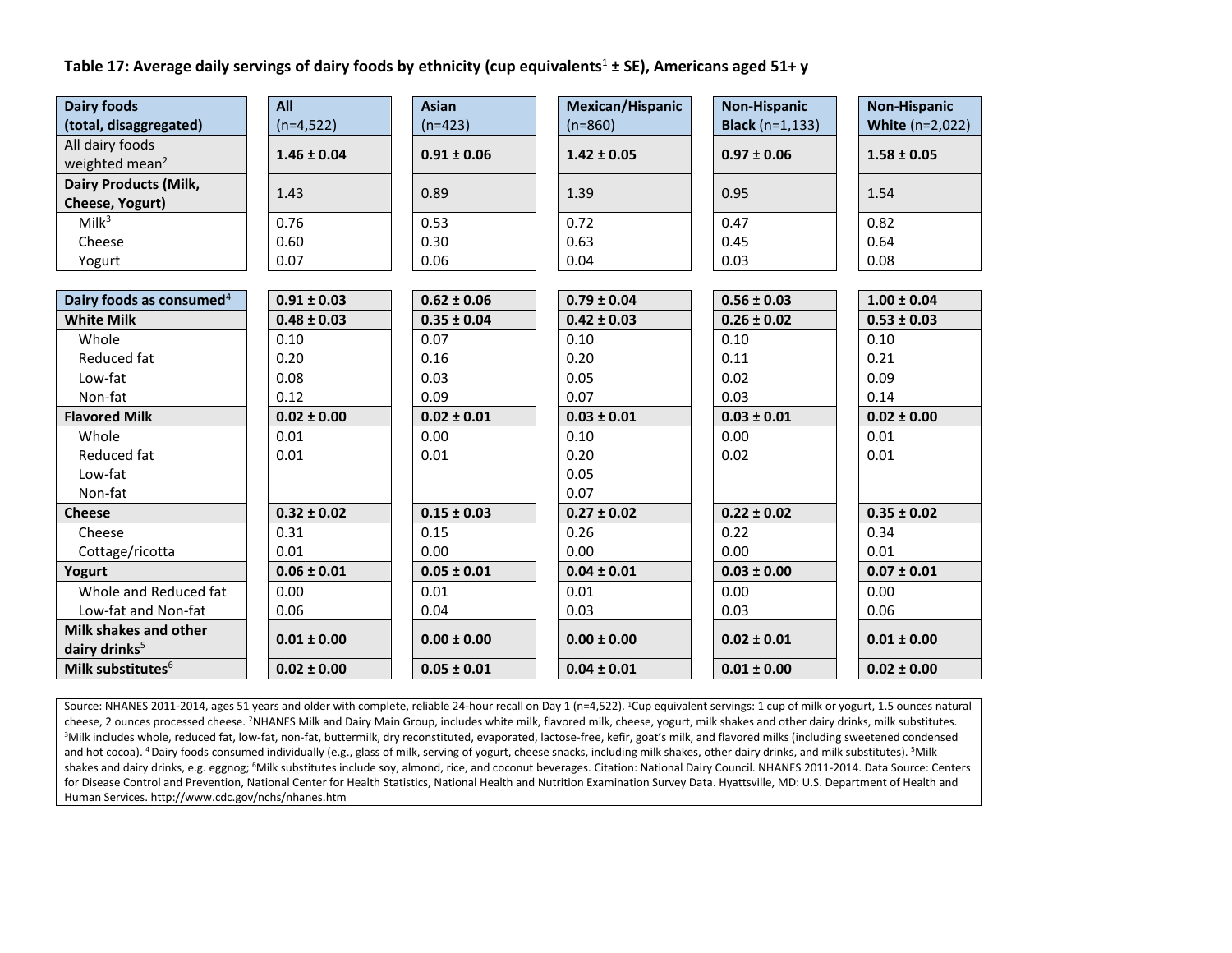# **Table 17: Average daily servings of dairy foods by ethnicity (cup equivalents**<sup>1</sup> **± SE), Americans aged 51+ y**

| <b>Dairy foods</b>                   | All             | <b>Asian</b>    | <b>Mexican/Hispanic</b> | <b>Non-Hispanic</b>        | <b>Non-Hispanic</b>    |
|--------------------------------------|-----------------|-----------------|-------------------------|----------------------------|------------------------|
| (total, disaggregated)               | $(n=4,522)$     | $(n=423)$       | $(n=860)$               | <b>Black</b> ( $n=1,133$ ) | <b>White (n=2,022)</b> |
| All dairy foods                      | $1.46 \pm 0.04$ | $0.91 \pm 0.06$ | $1.42 \pm 0.05$         | $0.97 \pm 0.06$            | $1.58 \pm 0.05$        |
| weighted mean <sup>2</sup>           |                 |                 |                         |                            |                        |
| <b>Dairy Products (Milk,</b>         | 1.43            | 0.89            | 1.39                    | 0.95                       | 1.54                   |
| Cheese, Yogurt)                      |                 |                 |                         |                            |                        |
| Milk <sup>3</sup>                    | 0.76            | 0.53            | 0.72                    | 0.47                       | 0.82                   |
| Cheese                               | 0.60            | 0.30            | 0.63                    | 0.45                       | 0.64                   |
| Yogurt                               | 0.07            | 0.06            | 0.04                    | 0.03                       | 0.08                   |
|                                      |                 |                 |                         |                            |                        |
| Dairy foods as consumed <sup>4</sup> | $0.91 \pm 0.03$ | $0.62 \pm 0.06$ | $0.79 \pm 0.04$         | $0.56 \pm 0.03$            | $1.00 \pm 0.04$        |
| <b>White Milk</b>                    | $0.48 \pm 0.03$ | $0.35 \pm 0.04$ | $0.42 \pm 0.03$         | $0.26 \pm 0.02$            | $0.53 \pm 0.03$        |
| Whole                                | 0.10            | 0.07            | 0.10                    | 0.10                       | 0.10                   |
| Reduced fat                          | 0.20            | 0.16            | 0.20                    | 0.11                       | 0.21                   |
| Low-fat                              | 0.08            | 0.03            | 0.05                    | 0.02                       | 0.09                   |
| Non-fat                              | 0.12            | 0.09            | 0.07                    | 0.03                       | 0.14                   |
| <b>Flavored Milk</b>                 | $0.02 \pm 0.00$ | $0.02 \pm 0.01$ | $0.03 \pm 0.01$         | $0.03 \pm 0.01$            | $0.02 \pm 0.00$        |
| Whole                                | 0.01            | 0.00            | 0.10                    | 0.00                       | 0.01                   |
| Reduced fat                          | 0.01            | 0.01            | 0.20                    | 0.02                       | 0.01                   |
| Low-fat                              |                 |                 | 0.05                    |                            |                        |
| Non-fat                              |                 |                 | 0.07                    |                            |                        |
| <b>Cheese</b>                        | $0.32 \pm 0.02$ | $0.15 \pm 0.03$ | $0.27 \pm 0.02$         | $0.22 \pm 0.02$            | $0.35 \pm 0.02$        |
| Cheese                               | 0.31            | 0.15            | 0.26                    | 0.22                       | 0.34                   |
| Cottage/ricotta                      | 0.01            | 0.00            | 0.00                    | 0.00                       | 0.01                   |
| Yogurt                               | $0.06 \pm 0.01$ | $0.05 \pm 0.01$ | $0.04 \pm 0.01$         | $0.03 \pm 0.00$            | $0.07 \pm 0.01$        |
| Whole and Reduced fat                | 0.00            | 0.01            | 0.01                    | 0.00                       | 0.00                   |
| Low-fat and Non-fat                  | 0.06            | 0.04            | 0.03                    | 0.03                       | 0.06                   |
| Milk shakes and other                | $0.01 \pm 0.00$ | $0.00 \pm 0.00$ | $0.00 \pm 0.00$         | $0.02 \pm 0.01$            | $0.01 \pm 0.00$        |
| dairy drinks <sup>5</sup>            |                 |                 |                         |                            |                        |
| Milk substitutes <sup>6</sup>        | $0.02 \pm 0.00$ | $0.05 \pm 0.01$ | $0.04 \pm 0.01$         | $0.01 \pm 0.00$            | $0.02 \pm 0.00$        |

Source: NHANES 2011-2014, ages 51 years and older with complete, reliable 24-hour recall on Day 1 (n=4,522). <sup>1</sup>Cup equivalent servings: 1 cup of milk or yogurt, 1.5 ounces natural cheese, 2 ounces processed cheese. <sup>2</sup>NHANES Milk and Dairy Main Group, includes white milk, flavored milk, cheese, yogurt, milk shakes and other dairy drinks, milk substitutes. <sup>3</sup>Milk includes whole, reduced fat, low-fat, non-fat, buttermilk, dry reconstituted, evaporated, lactose-free, kefir, goat's milk, and flavored milks (including sweetened condensed and hot cocoa). <sup>4</sup> Dairy foods consumed individually (e.g., glass of milk, serving of yogurt, cheese snacks, including milk shakes, other dairy drinks, and milk substitutes). <sup>5</sup>Milk shakes and dairy drinks, e.g. eggnog; <sup>6</sup>Milk substitutes include soy, almond, rice, and coconut beverages. Citation: National Dairy Council. NHANES 2011-2014. Data Source: Centers for Disease Control and Prevention, National Center for Health Statistics, National Health and Nutrition Examination Survey Data. Hyattsville, MD: U.S. Department of Health and Human Services. http://www.cdc.gov/nchs/nhanes.htm